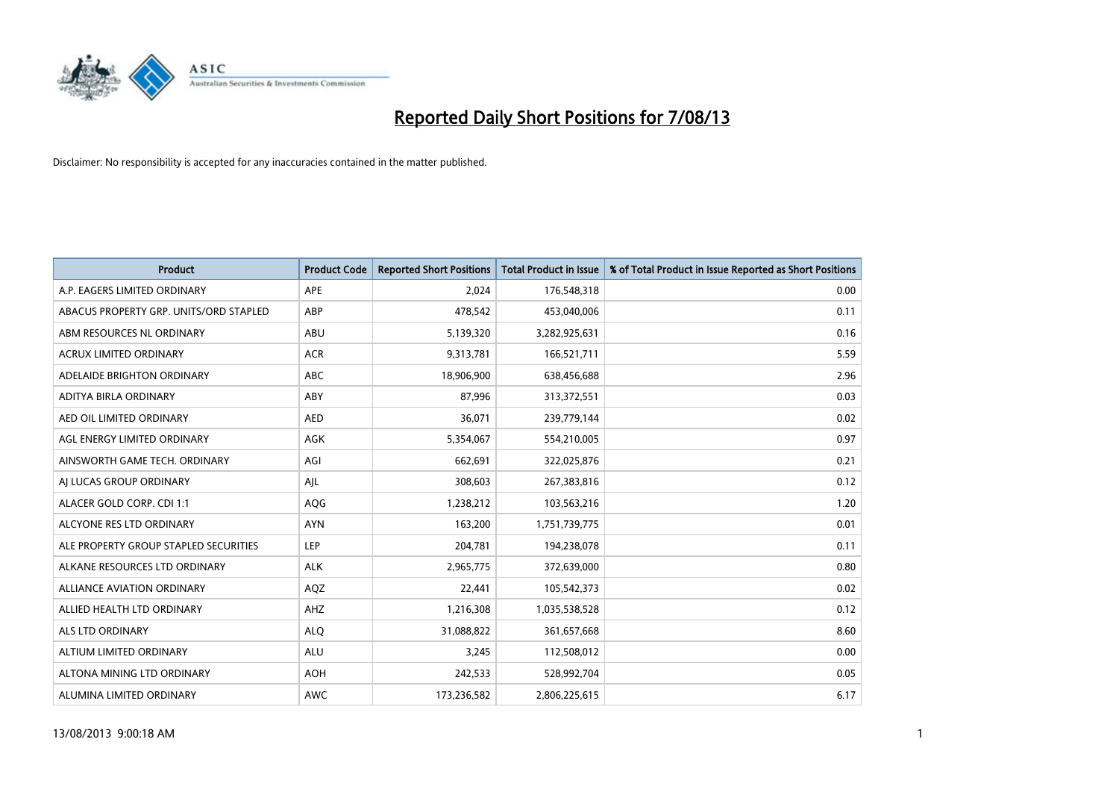

| <b>Product</b>                         | <b>Product Code</b> | <b>Reported Short Positions</b> | <b>Total Product in Issue</b> | % of Total Product in Issue Reported as Short Positions |
|----------------------------------------|---------------------|---------------------------------|-------------------------------|---------------------------------------------------------|
| A.P. EAGERS LIMITED ORDINARY           | APE                 | 2,024                           | 176,548,318                   | 0.00                                                    |
| ABACUS PROPERTY GRP. UNITS/ORD STAPLED | ABP                 | 478,542                         | 453,040,006                   | 0.11                                                    |
| ABM RESOURCES NL ORDINARY              | ABU                 | 5,139,320                       | 3,282,925,631                 | 0.16                                                    |
| ACRUX LIMITED ORDINARY                 | <b>ACR</b>          | 9,313,781                       | 166,521,711                   | 5.59                                                    |
| ADELAIDE BRIGHTON ORDINARY             | <b>ABC</b>          | 18,906,900                      | 638,456,688                   | 2.96                                                    |
| ADITYA BIRLA ORDINARY                  | ABY                 | 87,996                          | 313,372,551                   | 0.03                                                    |
| AED OIL LIMITED ORDINARY               | <b>AED</b>          | 36,071                          | 239,779,144                   | 0.02                                                    |
| AGL ENERGY LIMITED ORDINARY            | AGK                 | 5,354,067                       | 554,210,005                   | 0.97                                                    |
| AINSWORTH GAME TECH. ORDINARY          | AGI                 | 662,691                         | 322,025,876                   | 0.21                                                    |
| AI LUCAS GROUP ORDINARY                | AJL                 | 308,603                         | 267,383,816                   | 0.12                                                    |
| ALACER GOLD CORP. CDI 1:1              | AQG                 | 1,238,212                       | 103,563,216                   | 1.20                                                    |
| ALCYONE RES LTD ORDINARY               | <b>AYN</b>          | 163,200                         | 1,751,739,775                 | 0.01                                                    |
| ALE PROPERTY GROUP STAPLED SECURITIES  | LEP                 | 204,781                         | 194,238,078                   | 0.11                                                    |
| ALKANE RESOURCES LTD ORDINARY          | <b>ALK</b>          | 2,965,775                       | 372,639,000                   | 0.80                                                    |
| ALLIANCE AVIATION ORDINARY             | AQZ                 | 22,441                          | 105,542,373                   | 0.02                                                    |
| ALLIED HEALTH LTD ORDINARY             | AHZ                 | 1,216,308                       | 1,035,538,528                 | 0.12                                                    |
| ALS LTD ORDINARY                       | <b>ALQ</b>          | 31,088,822                      | 361,657,668                   | 8.60                                                    |
| ALTIUM LIMITED ORDINARY                | <b>ALU</b>          | 3,245                           | 112,508,012                   | 0.00                                                    |
| ALTONA MINING LTD ORDINARY             | <b>AOH</b>          | 242,533                         | 528,992,704                   | 0.05                                                    |
| ALUMINA LIMITED ORDINARY               | <b>AWC</b>          | 173,236,582                     | 2,806,225,615                 | 6.17                                                    |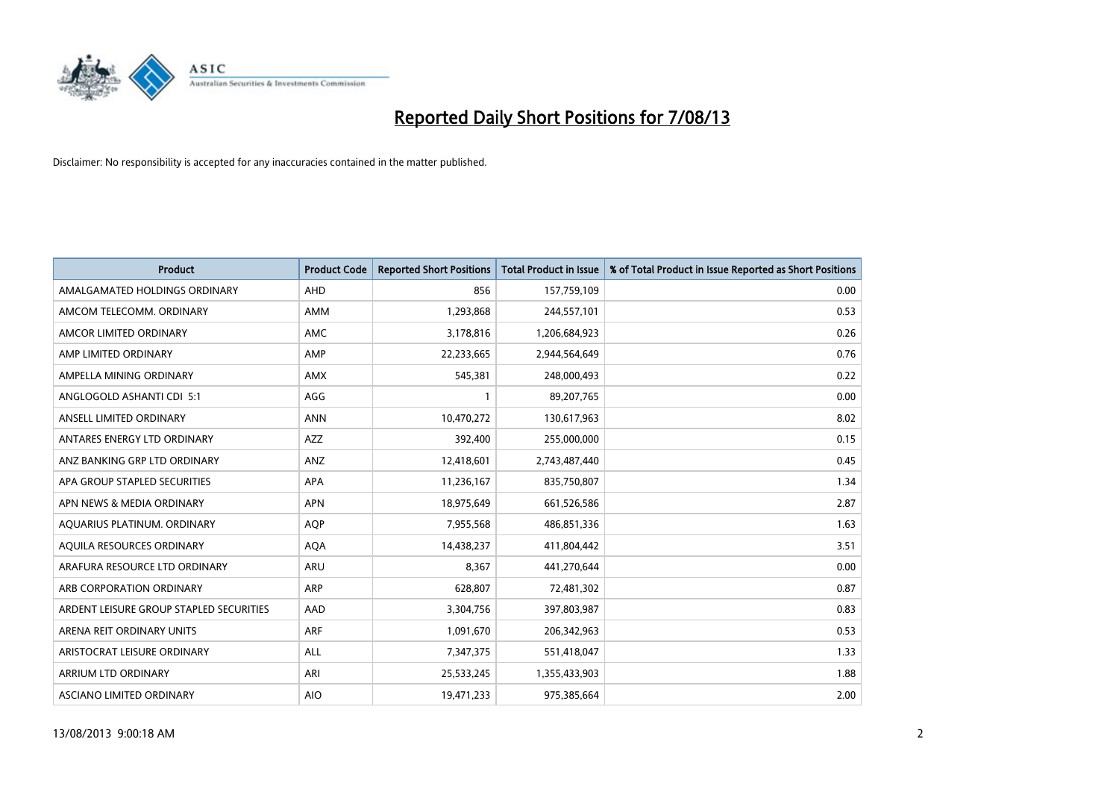

| <b>Product</b>                          | <b>Product Code</b> | <b>Reported Short Positions</b> | <b>Total Product in Issue</b> | % of Total Product in Issue Reported as Short Positions |
|-----------------------------------------|---------------------|---------------------------------|-------------------------------|---------------------------------------------------------|
| AMALGAMATED HOLDINGS ORDINARY           | AHD                 | 856                             | 157,759,109                   | 0.00                                                    |
| AMCOM TELECOMM. ORDINARY                | AMM                 | 1,293,868                       | 244,557,101                   | 0.53                                                    |
| AMCOR LIMITED ORDINARY                  | AMC                 | 3,178,816                       | 1,206,684,923                 | 0.26                                                    |
| AMP LIMITED ORDINARY                    | AMP                 | 22,233,665                      | 2,944,564,649                 | 0.76                                                    |
| AMPELLA MINING ORDINARY                 | AMX                 | 545,381                         | 248,000,493                   | 0.22                                                    |
| ANGLOGOLD ASHANTI CDI 5:1               | AGG                 | $\mathbf{1}$                    | 89,207,765                    | 0.00                                                    |
| ANSELL LIMITED ORDINARY                 | <b>ANN</b>          | 10,470,272                      | 130,617,963                   | 8.02                                                    |
| ANTARES ENERGY LTD ORDINARY             | <b>AZZ</b>          | 392,400                         | 255,000,000                   | 0.15                                                    |
| ANZ BANKING GRP LTD ORDINARY            | ANZ                 | 12,418,601                      | 2,743,487,440                 | 0.45                                                    |
| APA GROUP STAPLED SECURITIES            | <b>APA</b>          | 11,236,167                      | 835,750,807                   | 1.34                                                    |
| APN NEWS & MEDIA ORDINARY               | <b>APN</b>          | 18,975,649                      | 661,526,586                   | 2.87                                                    |
| AQUARIUS PLATINUM. ORDINARY             | <b>AOP</b>          | 7,955,568                       | 486,851,336                   | 1.63                                                    |
| AQUILA RESOURCES ORDINARY               | <b>AQA</b>          | 14,438,237                      | 411,804,442                   | 3.51                                                    |
| ARAFURA RESOURCE LTD ORDINARY           | ARU                 | 8,367                           | 441,270,644                   | 0.00                                                    |
| ARB CORPORATION ORDINARY                | <b>ARP</b>          | 628,807                         | 72,481,302                    | 0.87                                                    |
| ARDENT LEISURE GROUP STAPLED SECURITIES | AAD                 | 3,304,756                       | 397,803,987                   | 0.83                                                    |
| ARENA REIT ORDINARY UNITS               | <b>ARF</b>          | 1,091,670                       | 206,342,963                   | 0.53                                                    |
| ARISTOCRAT LEISURE ORDINARY             | <b>ALL</b>          | 7,347,375                       | 551,418,047                   | 1.33                                                    |
| ARRIUM LTD ORDINARY                     | ARI                 | 25,533,245                      | 1,355,433,903                 | 1.88                                                    |
| ASCIANO LIMITED ORDINARY                | <b>AIO</b>          | 19,471,233                      | 975,385,664                   | 2.00                                                    |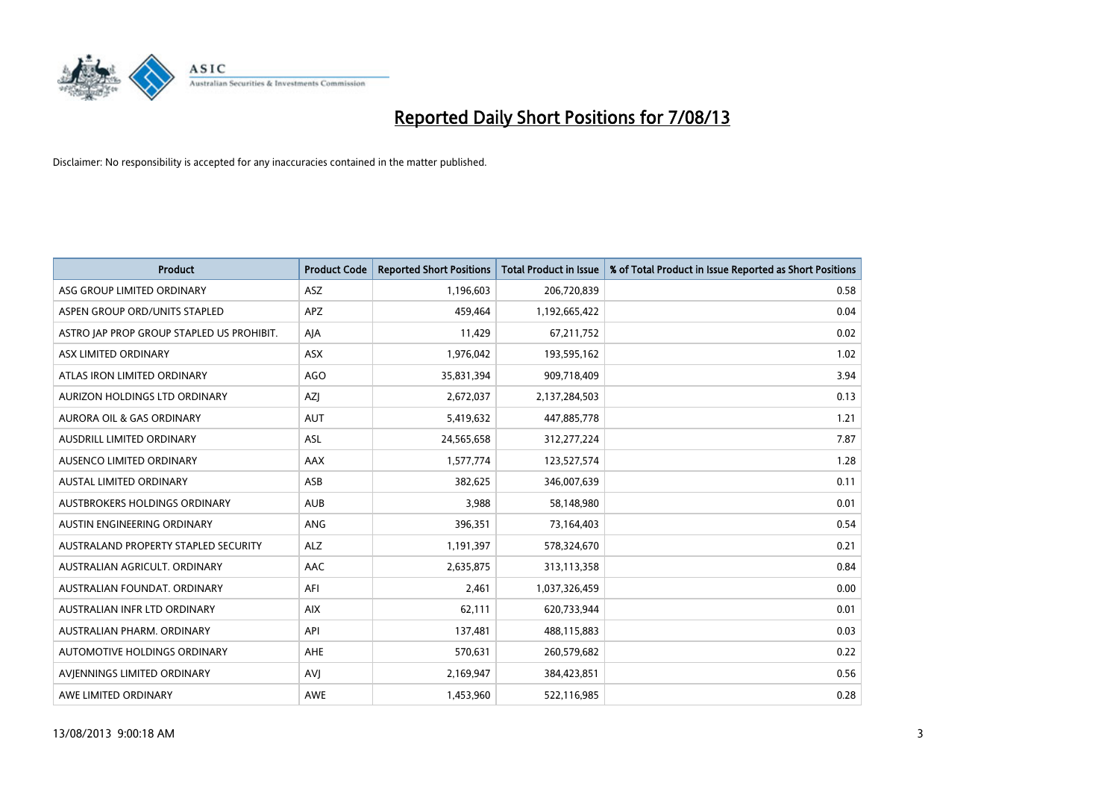

| <b>Product</b>                            | <b>Product Code</b> | <b>Reported Short Positions</b> | <b>Total Product in Issue</b> | % of Total Product in Issue Reported as Short Positions |
|-------------------------------------------|---------------------|---------------------------------|-------------------------------|---------------------------------------------------------|
| ASG GROUP LIMITED ORDINARY                | <b>ASZ</b>          | 1,196,603                       | 206,720,839                   | 0.58                                                    |
| ASPEN GROUP ORD/UNITS STAPLED             | <b>APZ</b>          | 459,464                         | 1,192,665,422                 | 0.04                                                    |
| ASTRO JAP PROP GROUP STAPLED US PROHIBIT. | AJA                 | 11,429                          | 67,211,752                    | 0.02                                                    |
| ASX LIMITED ORDINARY                      | ASX                 | 1,976,042                       | 193,595,162                   | 1.02                                                    |
| ATLAS IRON LIMITED ORDINARY               | <b>AGO</b>          | 35,831,394                      | 909,718,409                   | 3.94                                                    |
| AURIZON HOLDINGS LTD ORDINARY             | AZJ                 | 2,672,037                       | 2,137,284,503                 | 0.13                                                    |
| AURORA OIL & GAS ORDINARY                 | AUT                 | 5,419,632                       | 447,885,778                   | 1.21                                                    |
| AUSDRILL LIMITED ORDINARY                 | ASL                 | 24,565,658                      | 312,277,224                   | 7.87                                                    |
| AUSENCO LIMITED ORDINARY                  | AAX                 | 1,577,774                       | 123,527,574                   | 1.28                                                    |
| <b>AUSTAL LIMITED ORDINARY</b>            | ASB                 | 382,625                         | 346,007,639                   | 0.11                                                    |
| AUSTBROKERS HOLDINGS ORDINARY             | <b>AUB</b>          | 3,988                           | 58,148,980                    | 0.01                                                    |
| AUSTIN ENGINEERING ORDINARY               | <b>ANG</b>          | 396,351                         | 73,164,403                    | 0.54                                                    |
| AUSTRALAND PROPERTY STAPLED SECURITY      | <b>ALZ</b>          | 1,191,397                       | 578,324,670                   | 0.21                                                    |
| AUSTRALIAN AGRICULT, ORDINARY             | AAC                 | 2,635,875                       | 313,113,358                   | 0.84                                                    |
| AUSTRALIAN FOUNDAT, ORDINARY              | AFI                 | 2,461                           | 1,037,326,459                 | 0.00                                                    |
| AUSTRALIAN INFR LTD ORDINARY              | <b>AIX</b>          | 62,111                          | 620,733,944                   | 0.01                                                    |
| AUSTRALIAN PHARM. ORDINARY                | API                 | 137,481                         | 488,115,883                   | 0.03                                                    |
| AUTOMOTIVE HOLDINGS ORDINARY              | <b>AHE</b>          | 570,631                         | 260,579,682                   | 0.22                                                    |
| AVIENNINGS LIMITED ORDINARY               | <b>AVI</b>          | 2,169,947                       | 384,423,851                   | 0.56                                                    |
| AWE LIMITED ORDINARY                      | AWE                 | 1,453,960                       | 522,116,985                   | 0.28                                                    |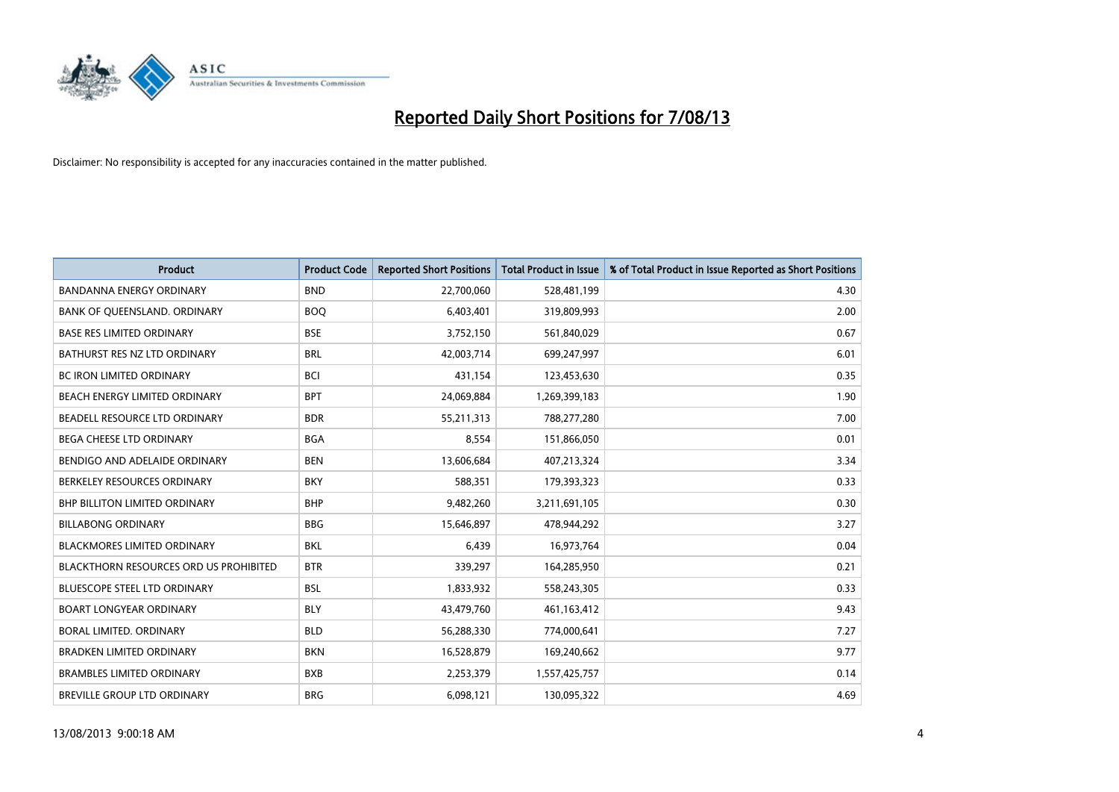

| <b>Product</b>                                | <b>Product Code</b> | <b>Reported Short Positions</b> | <b>Total Product in Issue</b> | % of Total Product in Issue Reported as Short Positions |
|-----------------------------------------------|---------------------|---------------------------------|-------------------------------|---------------------------------------------------------|
| <b>BANDANNA ENERGY ORDINARY</b>               | <b>BND</b>          | 22,700,060                      | 528,481,199                   | 4.30                                                    |
| BANK OF QUEENSLAND. ORDINARY                  | <b>BOQ</b>          | 6,403,401                       | 319,809,993                   | 2.00                                                    |
| <b>BASE RES LIMITED ORDINARY</b>              | <b>BSE</b>          | 3,752,150                       | 561,840,029                   | 0.67                                                    |
| BATHURST RES NZ LTD ORDINARY                  | <b>BRL</b>          | 42,003,714                      | 699,247,997                   | 6.01                                                    |
| <b>BC IRON LIMITED ORDINARY</b>               | <b>BCI</b>          | 431,154                         | 123,453,630                   | 0.35                                                    |
| BEACH ENERGY LIMITED ORDINARY                 | <b>BPT</b>          | 24,069,884                      | 1,269,399,183                 | 1.90                                                    |
| BEADELL RESOURCE LTD ORDINARY                 | <b>BDR</b>          | 55,211,313                      | 788,277,280                   | 7.00                                                    |
| <b>BEGA CHEESE LTD ORDINARY</b>               | <b>BGA</b>          | 8,554                           | 151,866,050                   | 0.01                                                    |
| BENDIGO AND ADELAIDE ORDINARY                 | <b>BEN</b>          | 13,606,684                      | 407,213,324                   | 3.34                                                    |
| BERKELEY RESOURCES ORDINARY                   | <b>BKY</b>          | 588,351                         | 179,393,323                   | 0.33                                                    |
| BHP BILLITON LIMITED ORDINARY                 | <b>BHP</b>          | 9,482,260                       | 3,211,691,105                 | 0.30                                                    |
| <b>BILLABONG ORDINARY</b>                     | <b>BBG</b>          | 15,646,897                      | 478,944,292                   | 3.27                                                    |
| <b>BLACKMORES LIMITED ORDINARY</b>            | <b>BKL</b>          | 6.439                           | 16,973,764                    | 0.04                                                    |
| <b>BLACKTHORN RESOURCES ORD US PROHIBITED</b> | <b>BTR</b>          | 339,297                         | 164,285,950                   | 0.21                                                    |
| BLUESCOPE STEEL LTD ORDINARY                  | <b>BSL</b>          | 1,833,932                       | 558,243,305                   | 0.33                                                    |
| <b>BOART LONGYEAR ORDINARY</b>                | <b>BLY</b>          | 43,479,760                      | 461,163,412                   | 9.43                                                    |
| BORAL LIMITED, ORDINARY                       | <b>BLD</b>          | 56,288,330                      | 774,000,641                   | 7.27                                                    |
| <b>BRADKEN LIMITED ORDINARY</b>               | <b>BKN</b>          | 16,528,879                      | 169,240,662                   | 9.77                                                    |
| <b>BRAMBLES LIMITED ORDINARY</b>              | <b>BXB</b>          | 2,253,379                       | 1,557,425,757                 | 0.14                                                    |
| <b>BREVILLE GROUP LTD ORDINARY</b>            | <b>BRG</b>          | 6,098,121                       | 130,095,322                   | 4.69                                                    |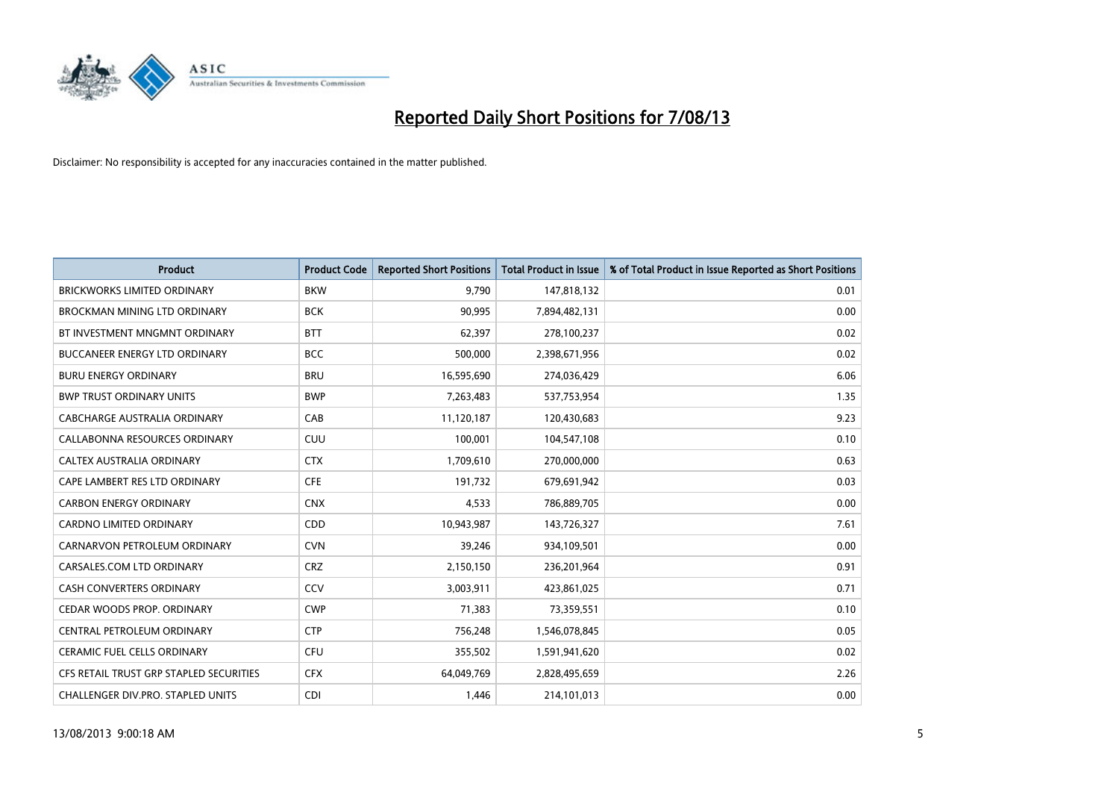

| <b>Product</b>                          | <b>Product Code</b> | <b>Reported Short Positions</b> | <b>Total Product in Issue</b> | % of Total Product in Issue Reported as Short Positions |
|-----------------------------------------|---------------------|---------------------------------|-------------------------------|---------------------------------------------------------|
| <b>BRICKWORKS LIMITED ORDINARY</b>      | <b>BKW</b>          | 9,790                           | 147,818,132                   | 0.01                                                    |
| BROCKMAN MINING LTD ORDINARY            | <b>BCK</b>          | 90,995                          | 7,894,482,131                 | 0.00                                                    |
| BT INVESTMENT MNGMNT ORDINARY           | <b>BTT</b>          | 62,397                          | 278,100,237                   | 0.02                                                    |
| BUCCANEER ENERGY LTD ORDINARY           | <b>BCC</b>          | 500,000                         | 2,398,671,956                 | 0.02                                                    |
| <b>BURU ENERGY ORDINARY</b>             | <b>BRU</b>          | 16,595,690                      | 274,036,429                   | 6.06                                                    |
| <b>BWP TRUST ORDINARY UNITS</b>         | <b>BWP</b>          | 7,263,483                       | 537,753,954                   | 1.35                                                    |
| <b>CABCHARGE AUSTRALIA ORDINARY</b>     | CAB                 | 11,120,187                      | 120,430,683                   | 9.23                                                    |
| CALLABONNA RESOURCES ORDINARY           | CUU                 | 100,001                         | 104,547,108                   | 0.10                                                    |
| CALTEX AUSTRALIA ORDINARY               | <b>CTX</b>          | 1,709,610                       | 270,000,000                   | 0.63                                                    |
| CAPE LAMBERT RES LTD ORDINARY           | <b>CFE</b>          | 191,732                         | 679,691,942                   | 0.03                                                    |
| <b>CARBON ENERGY ORDINARY</b>           | <b>CNX</b>          | 4,533                           | 786,889,705                   | 0.00                                                    |
| <b>CARDNO LIMITED ORDINARY</b>          | CDD                 | 10,943,987                      | 143,726,327                   | 7.61                                                    |
| CARNARVON PETROLEUM ORDINARY            | <b>CVN</b>          | 39,246                          | 934,109,501                   | 0.00                                                    |
| CARSALES.COM LTD ORDINARY               | <b>CRZ</b>          | 2,150,150                       | 236,201,964                   | 0.91                                                    |
| <b>CASH CONVERTERS ORDINARY</b>         | CCV                 | 3,003,911                       | 423,861,025                   | 0.71                                                    |
| CEDAR WOODS PROP. ORDINARY              | <b>CWP</b>          | 71,383                          | 73,359,551                    | 0.10                                                    |
| CENTRAL PETROLEUM ORDINARY              | <b>CTP</b>          | 756,248                         | 1,546,078,845                 | 0.05                                                    |
| CERAMIC FUEL CELLS ORDINARY             | <b>CFU</b>          | 355,502                         | 1,591,941,620                 | 0.02                                                    |
| CFS RETAIL TRUST GRP STAPLED SECURITIES | <b>CFX</b>          | 64,049,769                      | 2,828,495,659                 | 2.26                                                    |
| CHALLENGER DIV.PRO. STAPLED UNITS       | <b>CDI</b>          | 1,446                           | 214,101,013                   | 0.00                                                    |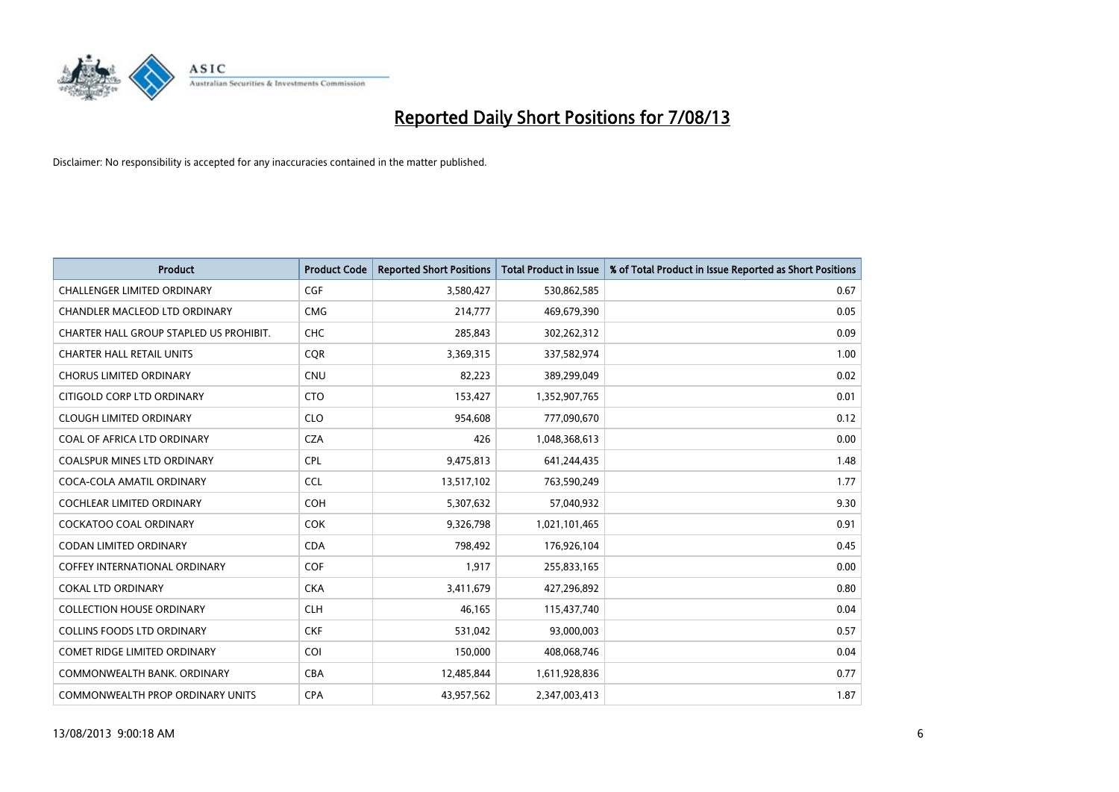

| <b>Product</b>                          | <b>Product Code</b> | <b>Reported Short Positions</b> | <b>Total Product in Issue</b> | % of Total Product in Issue Reported as Short Positions |
|-----------------------------------------|---------------------|---------------------------------|-------------------------------|---------------------------------------------------------|
| <b>CHALLENGER LIMITED ORDINARY</b>      | <b>CGF</b>          | 3,580,427                       | 530,862,585                   | 0.67                                                    |
| CHANDLER MACLEOD LTD ORDINARY           | <b>CMG</b>          | 214,777                         | 469,679,390                   | 0.05                                                    |
| CHARTER HALL GROUP STAPLED US PROHIBIT. | <b>CHC</b>          | 285,843                         | 302,262,312                   | 0.09                                                    |
| <b>CHARTER HALL RETAIL UNITS</b>        | <b>CQR</b>          | 3,369,315                       | 337,582,974                   | 1.00                                                    |
| <b>CHORUS LIMITED ORDINARY</b>          | <b>CNU</b>          | 82,223                          | 389,299,049                   | 0.02                                                    |
| CITIGOLD CORP LTD ORDINARY              | <b>CTO</b>          | 153,427                         | 1,352,907,765                 | 0.01                                                    |
| <b>CLOUGH LIMITED ORDINARY</b>          | <b>CLO</b>          | 954,608                         | 777,090,670                   | 0.12                                                    |
| COAL OF AFRICA LTD ORDINARY             | <b>CZA</b>          | 426                             | 1,048,368,613                 | 0.00                                                    |
| <b>COALSPUR MINES LTD ORDINARY</b>      | <b>CPL</b>          | 9,475,813                       | 641,244,435                   | 1.48                                                    |
| COCA-COLA AMATIL ORDINARY               | <b>CCL</b>          | 13,517,102                      | 763,590,249                   | 1.77                                                    |
| COCHLEAR LIMITED ORDINARY               | <b>COH</b>          | 5,307,632                       | 57,040,932                    | 9.30                                                    |
| <b>COCKATOO COAL ORDINARY</b>           | <b>COK</b>          | 9,326,798                       | 1,021,101,465                 | 0.91                                                    |
| <b>CODAN LIMITED ORDINARY</b>           | <b>CDA</b>          | 798,492                         | 176,926,104                   | 0.45                                                    |
| <b>COFFEY INTERNATIONAL ORDINARY</b>    | <b>COF</b>          | 1,917                           | 255,833,165                   | 0.00                                                    |
| <b>COKAL LTD ORDINARY</b>               | <b>CKA</b>          | 3,411,679                       | 427,296,892                   | 0.80                                                    |
| <b>COLLECTION HOUSE ORDINARY</b>        | <b>CLH</b>          | 46,165                          | 115,437,740                   | 0.04                                                    |
| COLLINS FOODS LTD ORDINARY              | <b>CKF</b>          | 531,042                         | 93,000,003                    | 0.57                                                    |
| COMET RIDGE LIMITED ORDINARY            | <b>COI</b>          | 150,000                         | 408,068,746                   | 0.04                                                    |
| COMMONWEALTH BANK, ORDINARY             | <b>CBA</b>          | 12,485,844                      | 1,611,928,836                 | 0.77                                                    |
| COMMONWEALTH PROP ORDINARY UNITS        | <b>CPA</b>          | 43,957,562                      | 2,347,003,413                 | 1.87                                                    |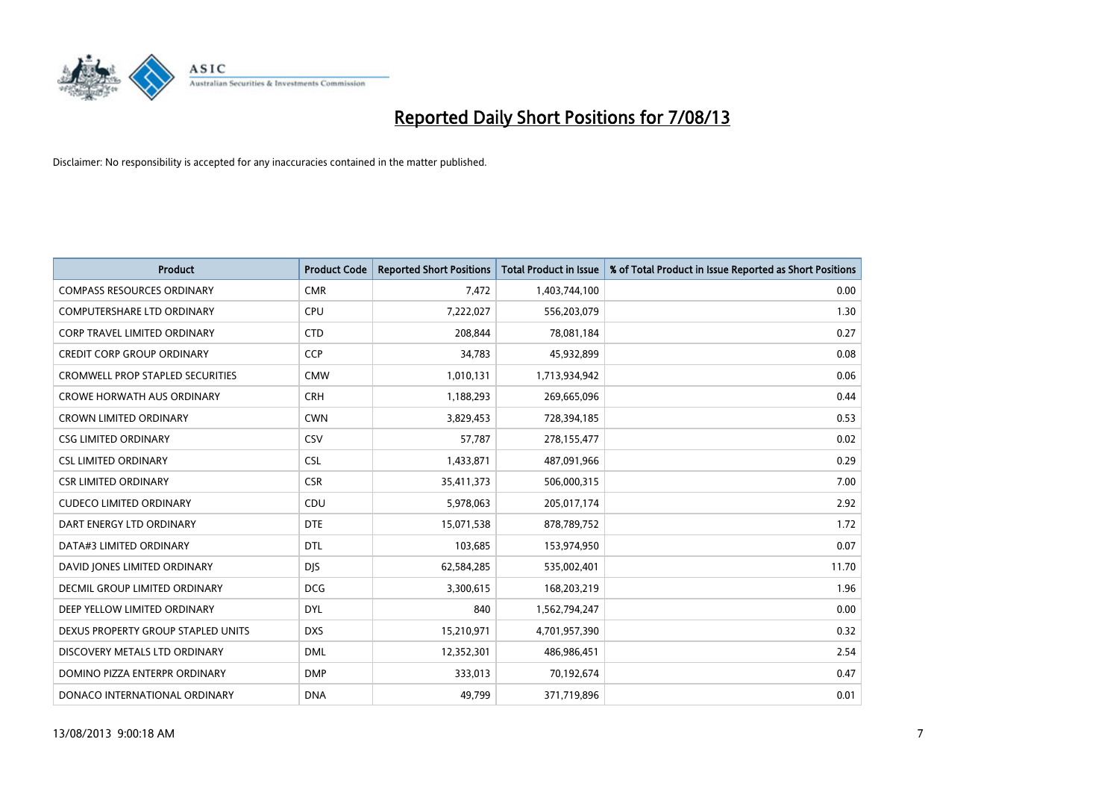

| <b>Product</b>                          | <b>Product Code</b> | <b>Reported Short Positions</b> | <b>Total Product in Issue</b> | % of Total Product in Issue Reported as Short Positions |
|-----------------------------------------|---------------------|---------------------------------|-------------------------------|---------------------------------------------------------|
| <b>COMPASS RESOURCES ORDINARY</b>       | <b>CMR</b>          | 7,472                           | 1,403,744,100                 | 0.00                                                    |
| COMPUTERSHARE LTD ORDINARY              | <b>CPU</b>          | 7,222,027                       | 556,203,079                   | 1.30                                                    |
| <b>CORP TRAVEL LIMITED ORDINARY</b>     | <b>CTD</b>          | 208,844                         | 78,081,184                    | 0.27                                                    |
| <b>CREDIT CORP GROUP ORDINARY</b>       | <b>CCP</b>          | 34,783                          | 45,932,899                    | 0.08                                                    |
| <b>CROMWELL PROP STAPLED SECURITIES</b> | <b>CMW</b>          | 1,010,131                       | 1,713,934,942                 | 0.06                                                    |
| <b>CROWE HORWATH AUS ORDINARY</b>       | <b>CRH</b>          | 1,188,293                       | 269,665,096                   | 0.44                                                    |
| <b>CROWN LIMITED ORDINARY</b>           | <b>CWN</b>          | 3,829,453                       | 728,394,185                   | 0.53                                                    |
| <b>CSG LIMITED ORDINARY</b>             | <b>CSV</b>          | 57,787                          | 278,155,477                   | 0.02                                                    |
| <b>CSL LIMITED ORDINARY</b>             | <b>CSL</b>          | 1,433,871                       | 487,091,966                   | 0.29                                                    |
| <b>CSR LIMITED ORDINARY</b>             | <b>CSR</b>          | 35,411,373                      | 506,000,315                   | 7.00                                                    |
| <b>CUDECO LIMITED ORDINARY</b>          | CDU                 | 5,978,063                       | 205,017,174                   | 2.92                                                    |
| DART ENERGY LTD ORDINARY                | <b>DTE</b>          | 15,071,538                      | 878,789,752                   | 1.72                                                    |
| DATA#3 LIMITED ORDINARY                 | <b>DTL</b>          | 103,685                         | 153,974,950                   | 0.07                                                    |
| DAVID JONES LIMITED ORDINARY            | <b>DJS</b>          | 62,584,285                      | 535,002,401                   | 11.70                                                   |
| <b>DECMIL GROUP LIMITED ORDINARY</b>    | <b>DCG</b>          | 3,300,615                       | 168,203,219                   | 1.96                                                    |
| DEEP YELLOW LIMITED ORDINARY            | <b>DYL</b>          | 840                             | 1,562,794,247                 | 0.00                                                    |
| DEXUS PROPERTY GROUP STAPLED UNITS      | <b>DXS</b>          | 15,210,971                      | 4,701,957,390                 | 0.32                                                    |
| DISCOVERY METALS LTD ORDINARY           | <b>DML</b>          | 12,352,301                      | 486,986,451                   | 2.54                                                    |
| DOMINO PIZZA ENTERPR ORDINARY           | <b>DMP</b>          | 333,013                         | 70,192,674                    | 0.47                                                    |
| DONACO INTERNATIONAL ORDINARY           | <b>DNA</b>          | 49,799                          | 371,719,896                   | 0.01                                                    |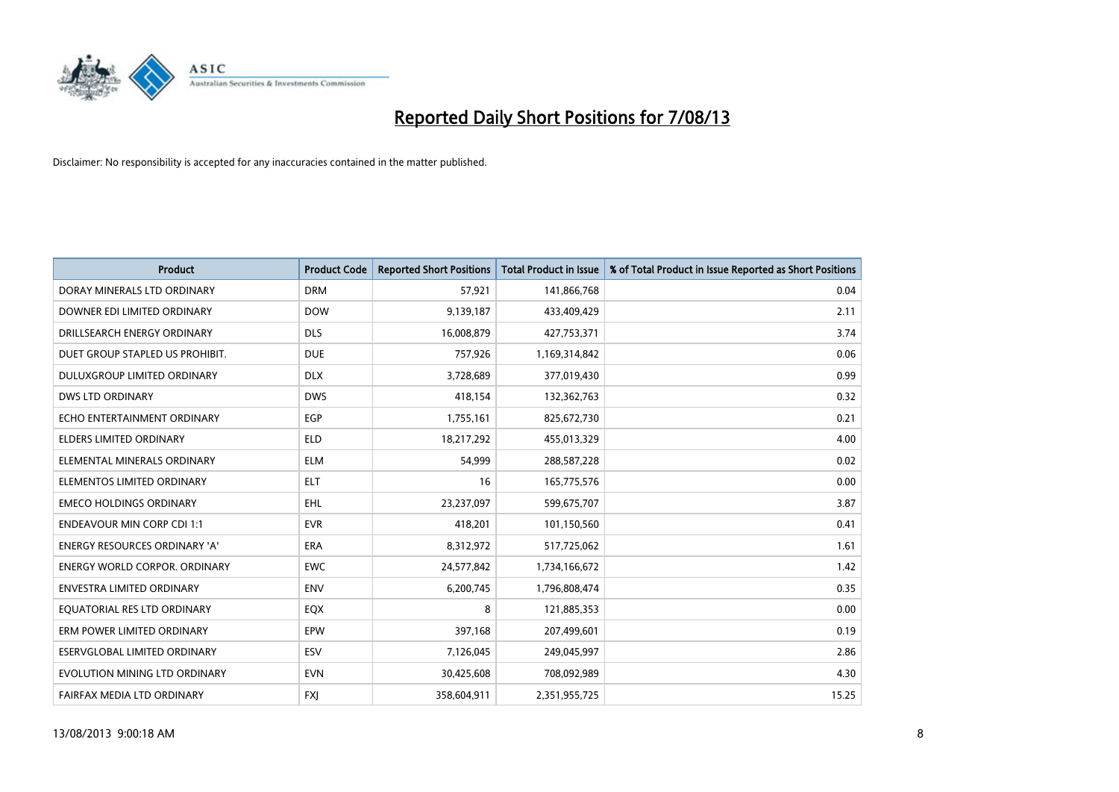

| <b>Product</b>                       | <b>Product Code</b> | <b>Reported Short Positions</b> | <b>Total Product in Issue</b> | % of Total Product in Issue Reported as Short Positions |
|--------------------------------------|---------------------|---------------------------------|-------------------------------|---------------------------------------------------------|
| DORAY MINERALS LTD ORDINARY          | <b>DRM</b>          | 57,921                          | 141,866,768                   | 0.04                                                    |
| DOWNER EDI LIMITED ORDINARY          | <b>DOW</b>          | 9,139,187                       | 433,409,429                   | 2.11                                                    |
| DRILLSEARCH ENERGY ORDINARY          | <b>DLS</b>          | 16,008,879                      | 427,753,371                   | 3.74                                                    |
| DUET GROUP STAPLED US PROHIBIT.      | <b>DUE</b>          | 757,926                         | 1,169,314,842                 | 0.06                                                    |
| <b>DULUXGROUP LIMITED ORDINARY</b>   | <b>DLX</b>          | 3,728,689                       | 377,019,430                   | 0.99                                                    |
| <b>DWS LTD ORDINARY</b>              | <b>DWS</b>          | 418,154                         | 132,362,763                   | 0.32                                                    |
| ECHO ENTERTAINMENT ORDINARY          | <b>EGP</b>          | 1,755,161                       | 825,672,730                   | 0.21                                                    |
| ELDERS LIMITED ORDINARY              | <b>ELD</b>          | 18,217,292                      | 455,013,329                   | 4.00                                                    |
| ELEMENTAL MINERALS ORDINARY          | <b>ELM</b>          | 54,999                          | 288,587,228                   | 0.02                                                    |
| ELEMENTOS LIMITED ORDINARY           | ELT                 | 16                              | 165,775,576                   | 0.00                                                    |
| <b>EMECO HOLDINGS ORDINARY</b>       | <b>EHL</b>          | 23,237,097                      | 599,675,707                   | 3.87                                                    |
| <b>ENDEAVOUR MIN CORP CDI 1:1</b>    | <b>EVR</b>          | 418,201                         | 101,150,560                   | 0.41                                                    |
| ENERGY RESOURCES ORDINARY 'A'        | <b>ERA</b>          | 8,312,972                       | 517,725,062                   | 1.61                                                    |
| <b>ENERGY WORLD CORPOR, ORDINARY</b> | <b>EWC</b>          | 24,577,842                      | 1,734,166,672                 | 1.42                                                    |
| <b>ENVESTRA LIMITED ORDINARY</b>     | <b>ENV</b>          | 6,200,745                       | 1,796,808,474                 | 0.35                                                    |
| EQUATORIAL RES LTD ORDINARY          | EQX                 | 8                               | 121,885,353                   | 0.00                                                    |
| ERM POWER LIMITED ORDINARY           | EPW                 | 397,168                         | 207,499,601                   | 0.19                                                    |
| ESERVGLOBAL LIMITED ORDINARY         | <b>ESV</b>          | 7,126,045                       | 249,045,997                   | 2.86                                                    |
| EVOLUTION MINING LTD ORDINARY        | <b>EVN</b>          | 30,425,608                      | 708,092,989                   | 4.30                                                    |
| FAIRFAX MEDIA LTD ORDINARY           | <b>FXJ</b>          | 358,604,911                     | 2,351,955,725                 | 15.25                                                   |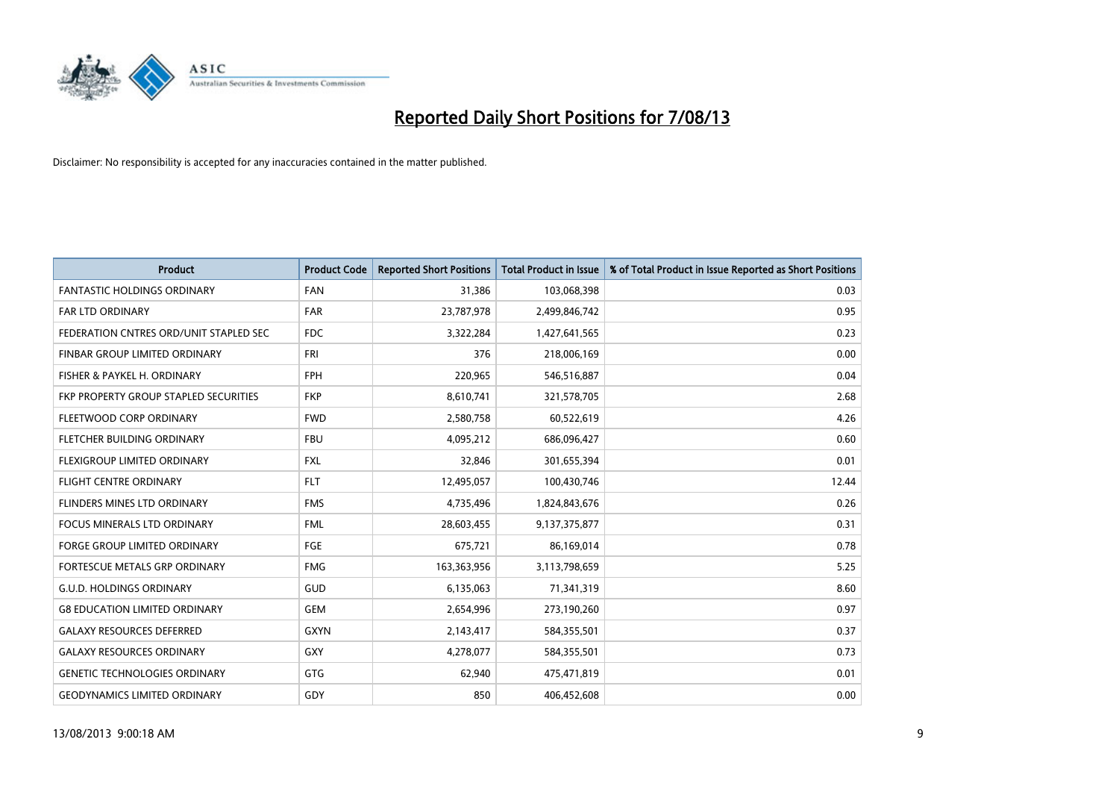

| <b>Product</b>                         | <b>Product Code</b> | <b>Reported Short Positions</b> | <b>Total Product in Issue</b> | % of Total Product in Issue Reported as Short Positions |
|----------------------------------------|---------------------|---------------------------------|-------------------------------|---------------------------------------------------------|
| <b>FANTASTIC HOLDINGS ORDINARY</b>     | <b>FAN</b>          | 31,386                          | 103,068,398                   | 0.03                                                    |
| FAR LTD ORDINARY                       | FAR                 | 23,787,978                      | 2,499,846,742                 | 0.95                                                    |
| FEDERATION CNTRES ORD/UNIT STAPLED SEC | FDC                 | 3,322,284                       | 1,427,641,565                 | 0.23                                                    |
| FINBAR GROUP LIMITED ORDINARY          | <b>FRI</b>          | 376                             | 218,006,169                   | 0.00                                                    |
| FISHER & PAYKEL H. ORDINARY            | <b>FPH</b>          | 220,965                         | 546,516,887                   | 0.04                                                    |
| FKP PROPERTY GROUP STAPLED SECURITIES  | <b>FKP</b>          | 8,610,741                       | 321,578,705                   | 2.68                                                    |
| FLEETWOOD CORP ORDINARY                | <b>FWD</b>          | 2,580,758                       | 60,522,619                    | 4.26                                                    |
| FLETCHER BUILDING ORDINARY             | <b>FBU</b>          | 4,095,212                       | 686,096,427                   | 0.60                                                    |
| FLEXIGROUP LIMITED ORDINARY            | <b>FXL</b>          | 32,846                          | 301,655,394                   | 0.01                                                    |
| <b>FLIGHT CENTRE ORDINARY</b>          | <b>FLT</b>          | 12,495,057                      | 100,430,746                   | 12.44                                                   |
| FLINDERS MINES LTD ORDINARY            | <b>FMS</b>          | 4,735,496                       | 1,824,843,676                 | 0.26                                                    |
| <b>FOCUS MINERALS LTD ORDINARY</b>     | <b>FML</b>          | 28,603,455                      | 9,137,375,877                 | 0.31                                                    |
| FORGE GROUP LIMITED ORDINARY           | FGE                 | 675,721                         | 86,169,014                    | 0.78                                                    |
| FORTESCUE METALS GRP ORDINARY          | <b>FMG</b>          | 163,363,956                     | 3,113,798,659                 | 5.25                                                    |
| <b>G.U.D. HOLDINGS ORDINARY</b>        | <b>GUD</b>          | 6,135,063                       | 71,341,319                    | 8.60                                                    |
| <b>G8 EDUCATION LIMITED ORDINARY</b>   | <b>GEM</b>          | 2,654,996                       | 273,190,260                   | 0.97                                                    |
| <b>GALAXY RESOURCES DEFERRED</b>       | <b>GXYN</b>         | 2,143,417                       | 584,355,501                   | 0.37                                                    |
| <b>GALAXY RESOURCES ORDINARY</b>       | GXY                 | 4,278,077                       | 584,355,501                   | 0.73                                                    |
| <b>GENETIC TECHNOLOGIES ORDINARY</b>   | GTG                 | 62,940                          | 475,471,819                   | 0.01                                                    |
| <b>GEODYNAMICS LIMITED ORDINARY</b>    | GDY                 | 850                             | 406,452,608                   | 0.00                                                    |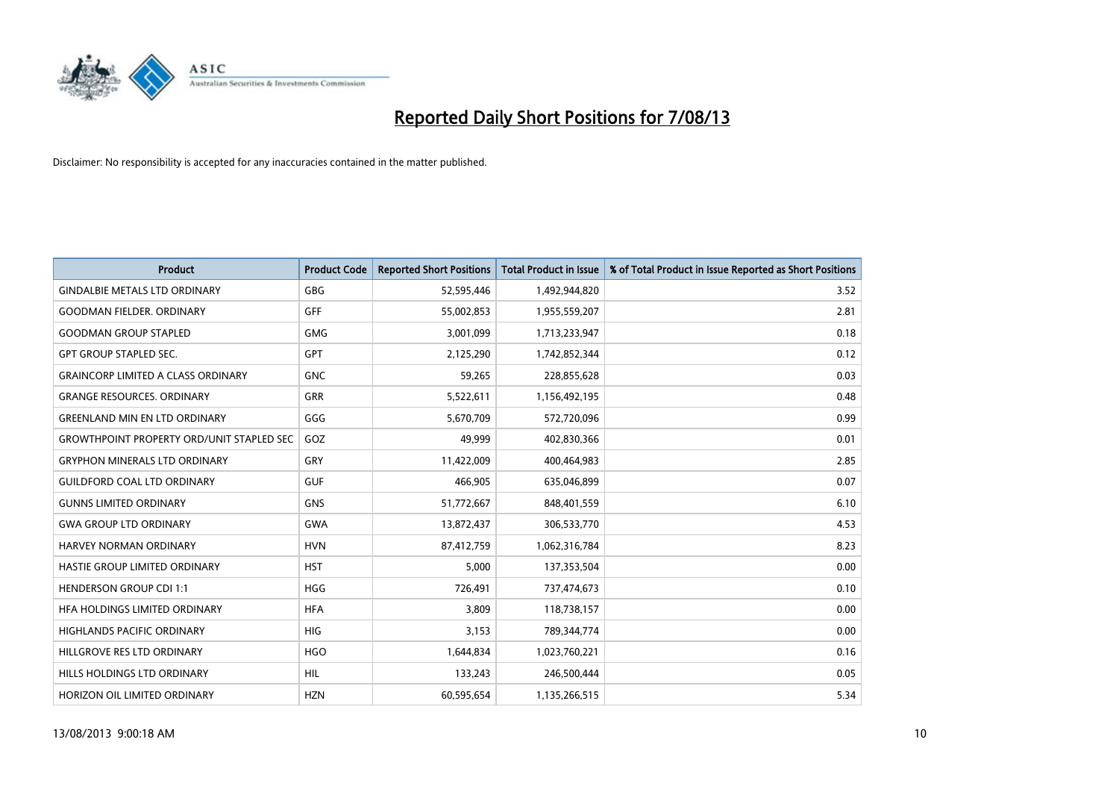

| <b>Product</b>                                   | <b>Product Code</b> | <b>Reported Short Positions</b> | <b>Total Product in Issue</b> | % of Total Product in Issue Reported as Short Positions |
|--------------------------------------------------|---------------------|---------------------------------|-------------------------------|---------------------------------------------------------|
| <b>GINDALBIE METALS LTD ORDINARY</b>             | GBG                 | 52,595,446                      | 1,492,944,820                 | 3.52                                                    |
| <b>GOODMAN FIELDER, ORDINARY</b>                 | <b>GFF</b>          | 55,002,853                      | 1,955,559,207                 | 2.81                                                    |
| <b>GOODMAN GROUP STAPLED</b>                     | <b>GMG</b>          | 3,001,099                       | 1,713,233,947                 | 0.18                                                    |
| <b>GPT GROUP STAPLED SEC.</b>                    | <b>GPT</b>          | 2,125,290                       | 1,742,852,344                 | 0.12                                                    |
| <b>GRAINCORP LIMITED A CLASS ORDINARY</b>        | <b>GNC</b>          | 59,265                          | 228,855,628                   | 0.03                                                    |
| <b>GRANGE RESOURCES, ORDINARY</b>                | <b>GRR</b>          | 5,522,611                       | 1,156,492,195                 | 0.48                                                    |
| <b>GREENLAND MIN EN LTD ORDINARY</b>             | GGG                 | 5,670,709                       | 572,720,096                   | 0.99                                                    |
| <b>GROWTHPOINT PROPERTY ORD/UNIT STAPLED SEC</b> | GOZ                 | 49,999                          | 402,830,366                   | 0.01                                                    |
| <b>GRYPHON MINERALS LTD ORDINARY</b>             | GRY                 | 11,422,009                      | 400,464,983                   | 2.85                                                    |
| <b>GUILDFORD COAL LTD ORDINARY</b>               | <b>GUF</b>          | 466,905                         | 635,046,899                   | 0.07                                                    |
| <b>GUNNS LIMITED ORDINARY</b>                    | <b>GNS</b>          | 51,772,667                      | 848,401,559                   | 6.10                                                    |
| <b>GWA GROUP LTD ORDINARY</b>                    | <b>GWA</b>          | 13,872,437                      | 306,533,770                   | 4.53                                                    |
| HARVEY NORMAN ORDINARY                           | <b>HVN</b>          | 87,412,759                      | 1,062,316,784                 | 8.23                                                    |
| HASTIE GROUP LIMITED ORDINARY                    | <b>HST</b>          | 5,000                           | 137,353,504                   | 0.00                                                    |
| <b>HENDERSON GROUP CDI 1:1</b>                   | <b>HGG</b>          | 726,491                         | 737,474,673                   | 0.10                                                    |
| HFA HOLDINGS LIMITED ORDINARY                    | <b>HFA</b>          | 3,809                           | 118,738,157                   | 0.00                                                    |
| HIGHLANDS PACIFIC ORDINARY                       | HIG                 | 3,153                           | 789,344,774                   | 0.00                                                    |
| HILLGROVE RES LTD ORDINARY                       | <b>HGO</b>          | 1,644,834                       | 1,023,760,221                 | 0.16                                                    |
| HILLS HOLDINGS LTD ORDINARY                      | <b>HIL</b>          | 133,243                         | 246,500,444                   | 0.05                                                    |
| HORIZON OIL LIMITED ORDINARY                     | <b>HZN</b>          | 60,595,654                      | 1,135,266,515                 | 5.34                                                    |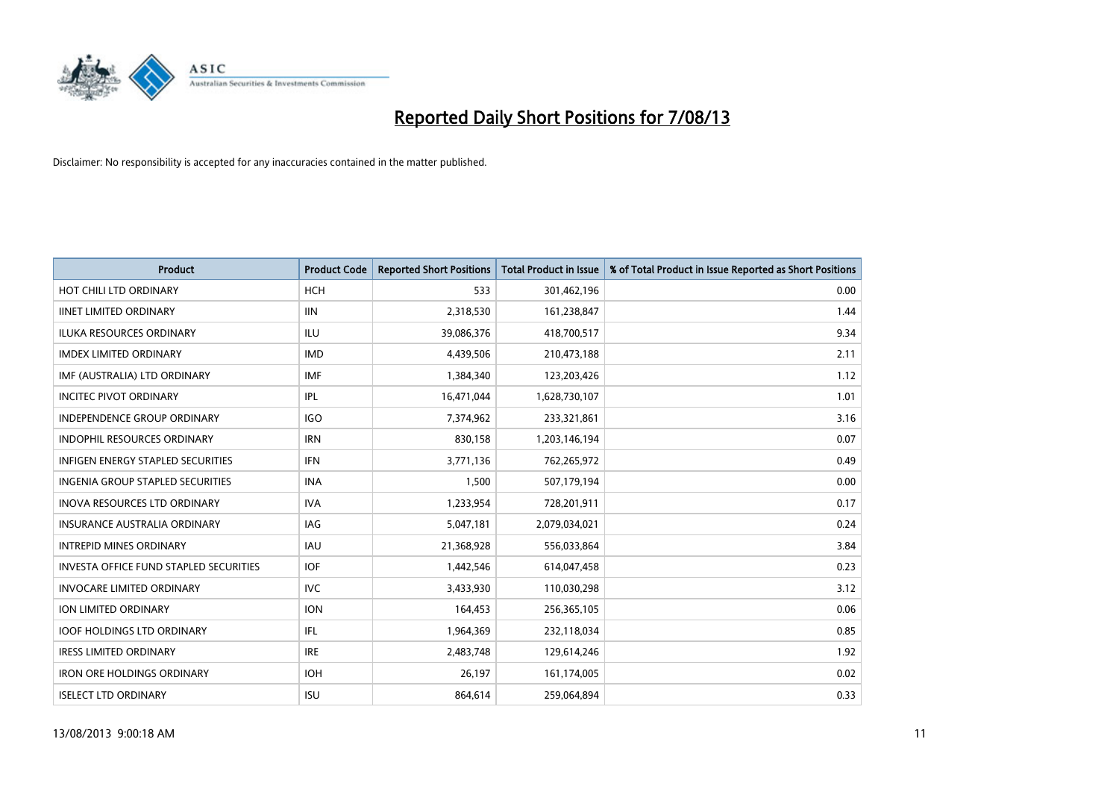

| <b>Product</b>                                | <b>Product Code</b> | <b>Reported Short Positions</b> | <b>Total Product in Issue</b> | % of Total Product in Issue Reported as Short Positions |
|-----------------------------------------------|---------------------|---------------------------------|-------------------------------|---------------------------------------------------------|
| HOT CHILI LTD ORDINARY                        | <b>HCH</b>          | 533                             | 301,462,196                   | 0.00                                                    |
| <b>IINET LIMITED ORDINARY</b>                 | <b>IIN</b>          | 2,318,530                       | 161,238,847                   | 1.44                                                    |
| <b>ILUKA RESOURCES ORDINARY</b>               | <b>ILU</b>          | 39,086,376                      | 418,700,517                   | 9.34                                                    |
| <b>IMDEX LIMITED ORDINARY</b>                 | <b>IMD</b>          | 4,439,506                       | 210,473,188                   | 2.11                                                    |
| IMF (AUSTRALIA) LTD ORDINARY                  | <b>IMF</b>          | 1,384,340                       | 123,203,426                   | 1.12                                                    |
| <b>INCITEC PIVOT ORDINARY</b>                 | IPL                 | 16,471,044                      | 1,628,730,107                 | 1.01                                                    |
| <b>INDEPENDENCE GROUP ORDINARY</b>            | <b>IGO</b>          | 7,374,962                       | 233,321,861                   | 3.16                                                    |
| <b>INDOPHIL RESOURCES ORDINARY</b>            | <b>IRN</b>          | 830,158                         | 1,203,146,194                 | 0.07                                                    |
| <b>INFIGEN ENERGY STAPLED SECURITIES</b>      | <b>IFN</b>          | 3,771,136                       | 762,265,972                   | 0.49                                                    |
| INGENIA GROUP STAPLED SECURITIES              | <b>INA</b>          | 1,500                           | 507,179,194                   | 0.00                                                    |
| INOVA RESOURCES LTD ORDINARY                  | <b>IVA</b>          | 1,233,954                       | 728,201,911                   | 0.17                                                    |
| <b>INSURANCE AUSTRALIA ORDINARY</b>           | IAG                 | 5,047,181                       | 2,079,034,021                 | 0.24                                                    |
| <b>INTREPID MINES ORDINARY</b>                | <b>IAU</b>          | 21,368,928                      | 556,033,864                   | 3.84                                                    |
| <b>INVESTA OFFICE FUND STAPLED SECURITIES</b> | <b>IOF</b>          | 1,442,546                       | 614,047,458                   | 0.23                                                    |
| <b>INVOCARE LIMITED ORDINARY</b>              | <b>IVC</b>          | 3,433,930                       | 110,030,298                   | 3.12                                                    |
| ION LIMITED ORDINARY                          | <b>ION</b>          | 164,453                         | 256,365,105                   | 0.06                                                    |
| <b>IOOF HOLDINGS LTD ORDINARY</b>             | IFL                 | 1,964,369                       | 232,118,034                   | 0.85                                                    |
| <b>IRESS LIMITED ORDINARY</b>                 | <b>IRE</b>          | 2,483,748                       | 129,614,246                   | 1.92                                                    |
| <b>IRON ORE HOLDINGS ORDINARY</b>             | <b>IOH</b>          | 26,197                          | 161,174,005                   | 0.02                                                    |
| <b>ISELECT LTD ORDINARY</b>                   | <b>ISU</b>          | 864,614                         | 259,064,894                   | 0.33                                                    |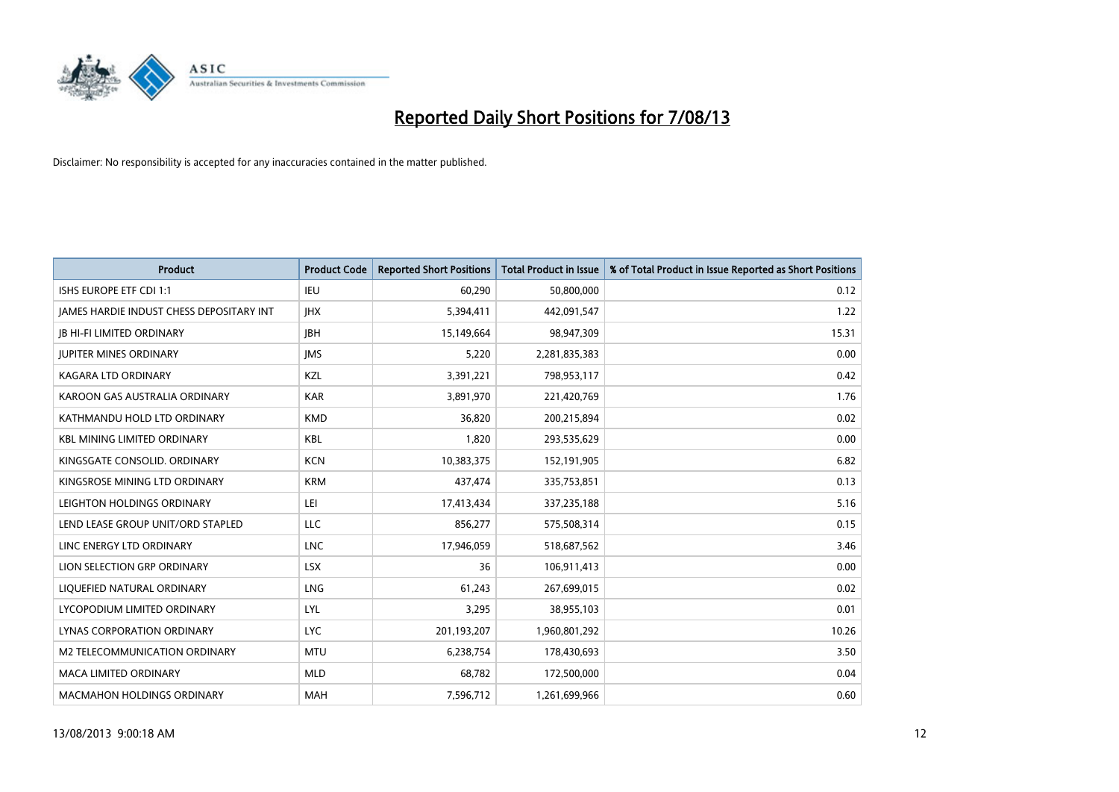

| <b>Product</b>                           | <b>Product Code</b> | <b>Reported Short Positions</b> | <b>Total Product in Issue</b> | % of Total Product in Issue Reported as Short Positions |
|------------------------------------------|---------------------|---------------------------------|-------------------------------|---------------------------------------------------------|
| ISHS EUROPE ETF CDI 1:1                  | <b>IEU</b>          | 60,290                          | 50,800,000                    | 0.12                                                    |
| JAMES HARDIE INDUST CHESS DEPOSITARY INT | <b>JHX</b>          | 5,394,411                       | 442,091,547                   | 1.22                                                    |
| <b>JB HI-FI LIMITED ORDINARY</b>         | <b>IBH</b>          | 15,149,664                      | 98,947,309                    | 15.31                                                   |
| <b>JUPITER MINES ORDINARY</b>            | <b>IMS</b>          | 5,220                           | 2,281,835,383                 | 0.00                                                    |
| <b>KAGARA LTD ORDINARY</b>               | KZL                 | 3,391,221                       | 798,953,117                   | 0.42                                                    |
| KAROON GAS AUSTRALIA ORDINARY            | <b>KAR</b>          | 3,891,970                       | 221,420,769                   | 1.76                                                    |
| KATHMANDU HOLD LTD ORDINARY              | <b>KMD</b>          | 36,820                          | 200,215,894                   | 0.02                                                    |
| KBL MINING LIMITED ORDINARY              | <b>KBL</b>          | 1,820                           | 293,535,629                   | 0.00                                                    |
| KINGSGATE CONSOLID, ORDINARY             | <b>KCN</b>          | 10,383,375                      | 152,191,905                   | 6.82                                                    |
| KINGSROSE MINING LTD ORDINARY            | <b>KRM</b>          | 437,474                         | 335,753,851                   | 0.13                                                    |
| LEIGHTON HOLDINGS ORDINARY               | LEI                 | 17,413,434                      | 337,235,188                   | 5.16                                                    |
| LEND LEASE GROUP UNIT/ORD STAPLED        | LLC                 | 856,277                         | 575,508,314                   | 0.15                                                    |
| LINC ENERGY LTD ORDINARY                 | <b>LNC</b>          | 17,946,059                      | 518,687,562                   | 3.46                                                    |
| LION SELECTION GRP ORDINARY              | <b>LSX</b>          | 36                              | 106,911,413                   | 0.00                                                    |
| LIQUEFIED NATURAL ORDINARY               | <b>LNG</b>          | 61,243                          | 267,699,015                   | 0.02                                                    |
| LYCOPODIUM LIMITED ORDINARY              | LYL                 | 3,295                           | 38,955,103                    | 0.01                                                    |
| LYNAS CORPORATION ORDINARY               | <b>LYC</b>          | 201,193,207                     | 1,960,801,292                 | 10.26                                                   |
| M2 TELECOMMUNICATION ORDINARY            | <b>MTU</b>          | 6,238,754                       | 178,430,693                   | 3.50                                                    |
| <b>MACA LIMITED ORDINARY</b>             | <b>MLD</b>          | 68,782                          | 172,500,000                   | 0.04                                                    |
| <b>MACMAHON HOLDINGS ORDINARY</b>        | <b>MAH</b>          | 7,596,712                       | 1,261,699,966                 | 0.60                                                    |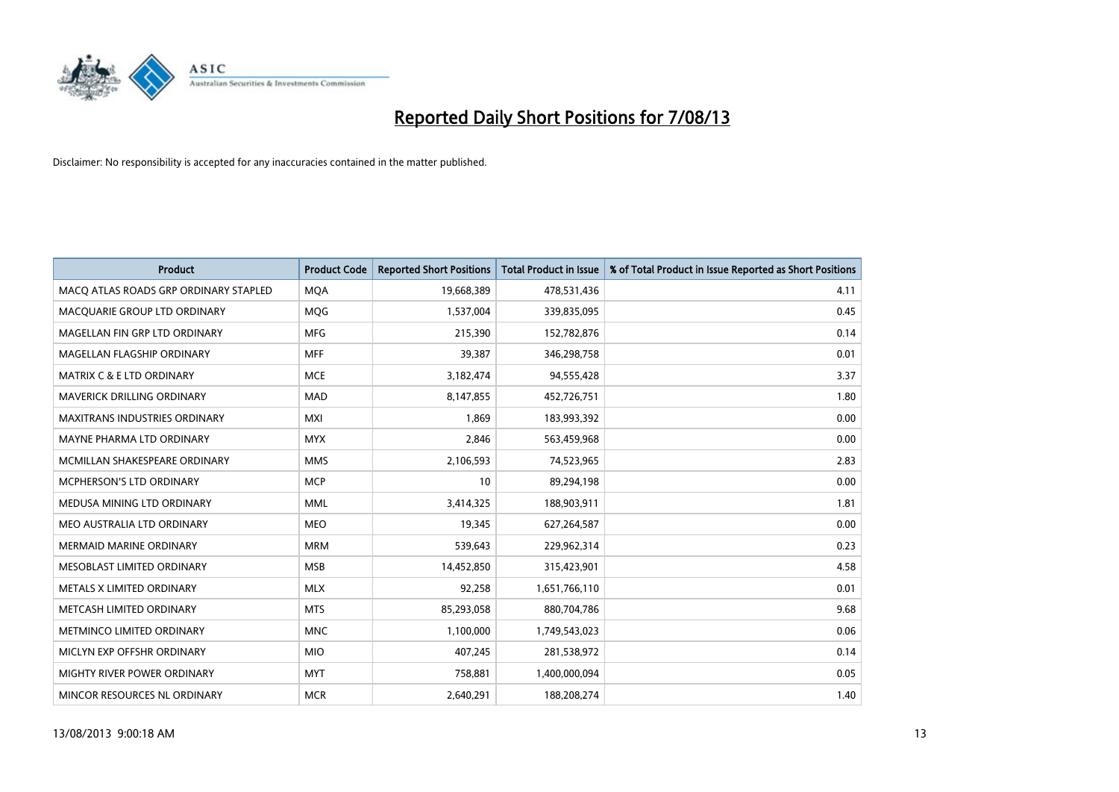

| <b>Product</b>                        | <b>Product Code</b> | <b>Reported Short Positions</b> | <b>Total Product in Issue</b> | % of Total Product in Issue Reported as Short Positions |
|---------------------------------------|---------------------|---------------------------------|-------------------------------|---------------------------------------------------------|
| MACO ATLAS ROADS GRP ORDINARY STAPLED | <b>MQA</b>          | 19,668,389                      | 478,531,436                   | 4.11                                                    |
| MACQUARIE GROUP LTD ORDINARY          | <b>MQG</b>          | 1,537,004                       | 339,835,095                   | 0.45                                                    |
| MAGELLAN FIN GRP LTD ORDINARY         | <b>MFG</b>          | 215,390                         | 152,782,876                   | 0.14                                                    |
| MAGELLAN FLAGSHIP ORDINARY            | <b>MFF</b>          | 39,387                          | 346,298,758                   | 0.01                                                    |
| MATRIX C & E LTD ORDINARY             | <b>MCE</b>          | 3,182,474                       | 94,555,428                    | 3.37                                                    |
| <b>MAVERICK DRILLING ORDINARY</b>     | <b>MAD</b>          | 8,147,855                       | 452,726,751                   | 1.80                                                    |
| MAXITRANS INDUSTRIES ORDINARY         | <b>MXI</b>          | 1,869                           | 183,993,392                   | 0.00                                                    |
| MAYNE PHARMA LTD ORDINARY             | <b>MYX</b>          | 2,846                           | 563,459,968                   | 0.00                                                    |
| MCMILLAN SHAKESPEARE ORDINARY         | <b>MMS</b>          | 2,106,593                       | 74,523,965                    | 2.83                                                    |
| <b>MCPHERSON'S LTD ORDINARY</b>       | <b>MCP</b>          | 10                              | 89,294,198                    | 0.00                                                    |
| MEDUSA MINING LTD ORDINARY            | <b>MML</b>          | 3,414,325                       | 188,903,911                   | 1.81                                                    |
| MEO AUSTRALIA LTD ORDINARY            | <b>MEO</b>          | 19,345                          | 627,264,587                   | 0.00                                                    |
| <b>MERMAID MARINE ORDINARY</b>        | <b>MRM</b>          | 539,643                         | 229,962,314                   | 0.23                                                    |
| MESOBLAST LIMITED ORDINARY            | <b>MSB</b>          | 14,452,850                      | 315,423,901                   | 4.58                                                    |
| METALS X LIMITED ORDINARY             | <b>MLX</b>          | 92,258                          | 1,651,766,110                 | 0.01                                                    |
| METCASH LIMITED ORDINARY              | <b>MTS</b>          | 85,293,058                      | 880,704,786                   | 9.68                                                    |
| METMINCO LIMITED ORDINARY             | <b>MNC</b>          | 1,100,000                       | 1,749,543,023                 | 0.06                                                    |
| MICLYN EXP OFFSHR ORDINARY            | <b>MIO</b>          | 407,245                         | 281,538,972                   | 0.14                                                    |
| MIGHTY RIVER POWER ORDINARY           | <b>MYT</b>          | 758,881                         | 1,400,000,094                 | 0.05                                                    |
| MINCOR RESOURCES NL ORDINARY          | <b>MCR</b>          | 2,640,291                       | 188,208,274                   | 1.40                                                    |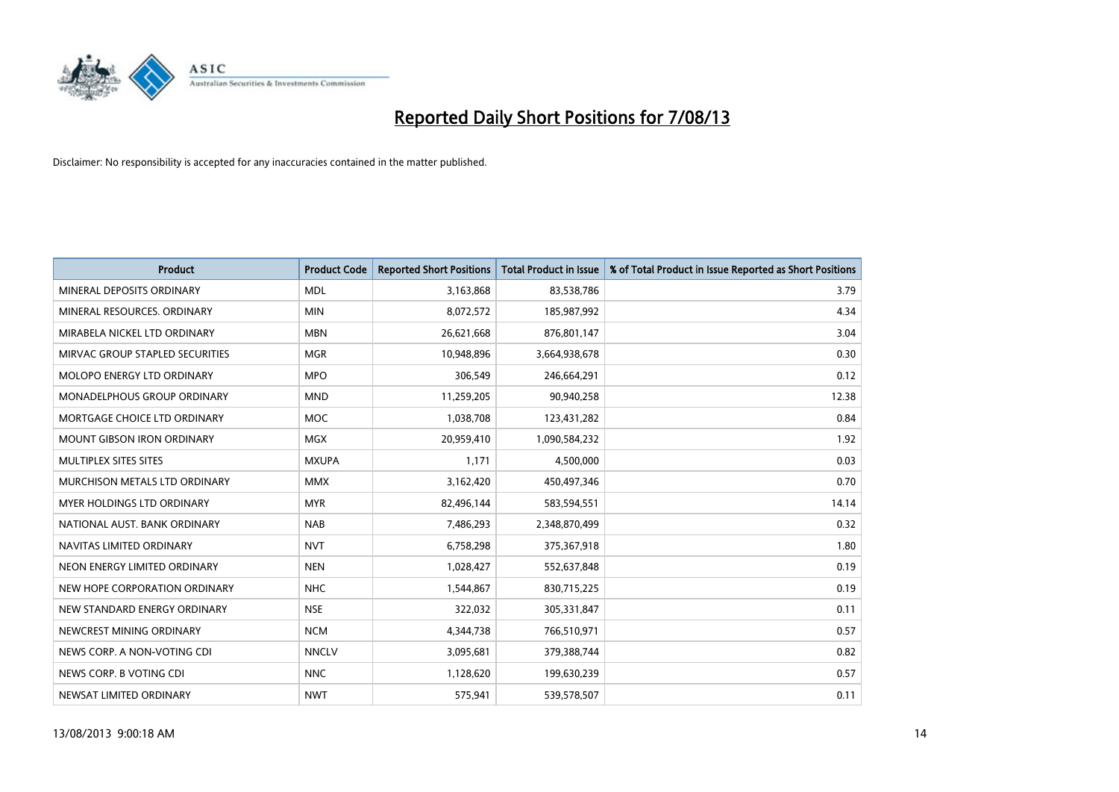

| <b>Product</b>                  | <b>Product Code</b> | <b>Reported Short Positions</b> | <b>Total Product in Issue</b> | % of Total Product in Issue Reported as Short Positions |
|---------------------------------|---------------------|---------------------------------|-------------------------------|---------------------------------------------------------|
| MINERAL DEPOSITS ORDINARY       | <b>MDL</b>          | 3,163,868                       | 83,538,786                    | 3.79                                                    |
| MINERAL RESOURCES, ORDINARY     | <b>MIN</b>          | 8,072,572                       | 185,987,992                   | 4.34                                                    |
| MIRABELA NICKEL LTD ORDINARY    | <b>MBN</b>          | 26,621,668                      | 876,801,147                   | 3.04                                                    |
| MIRVAC GROUP STAPLED SECURITIES | <b>MGR</b>          | 10,948,896                      | 3,664,938,678                 | 0.30                                                    |
| MOLOPO ENERGY LTD ORDINARY      | <b>MPO</b>          | 306,549                         | 246,664,291                   | 0.12                                                    |
| MONADELPHOUS GROUP ORDINARY     | <b>MND</b>          | 11,259,205                      | 90,940,258                    | 12.38                                                   |
| MORTGAGE CHOICE LTD ORDINARY    | MOC                 | 1,038,708                       | 123,431,282                   | 0.84                                                    |
| MOUNT GIBSON IRON ORDINARY      | <b>MGX</b>          | 20,959,410                      | 1,090,584,232                 | 1.92                                                    |
| MULTIPLEX SITES SITES           | <b>MXUPA</b>        | 1,171                           | 4,500,000                     | 0.03                                                    |
| MURCHISON METALS LTD ORDINARY   | <b>MMX</b>          | 3,162,420                       | 450,497,346                   | 0.70                                                    |
| MYER HOLDINGS LTD ORDINARY      | <b>MYR</b>          | 82,496,144                      | 583,594,551                   | 14.14                                                   |
| NATIONAL AUST. BANK ORDINARY    | <b>NAB</b>          | 7,486,293                       | 2,348,870,499                 | 0.32                                                    |
| NAVITAS LIMITED ORDINARY        | <b>NVT</b>          | 6,758,298                       | 375,367,918                   | 1.80                                                    |
| NEON ENERGY LIMITED ORDINARY    | <b>NEN</b>          | 1,028,427                       | 552,637,848                   | 0.19                                                    |
| NEW HOPE CORPORATION ORDINARY   | <b>NHC</b>          | 1,544,867                       | 830,715,225                   | 0.19                                                    |
| NEW STANDARD ENERGY ORDINARY    | <b>NSE</b>          | 322,032                         | 305,331,847                   | 0.11                                                    |
| NEWCREST MINING ORDINARY        | <b>NCM</b>          | 4,344,738                       | 766,510,971                   | 0.57                                                    |
| NEWS CORP. A NON-VOTING CDI     | <b>NNCLV</b>        | 3,095,681                       | 379,388,744                   | 0.82                                                    |
| NEWS CORP. B VOTING CDI         | <b>NNC</b>          | 1,128,620                       | 199,630,239                   | 0.57                                                    |
| NEWSAT LIMITED ORDINARY         | <b>NWT</b>          | 575,941                         | 539,578,507                   | 0.11                                                    |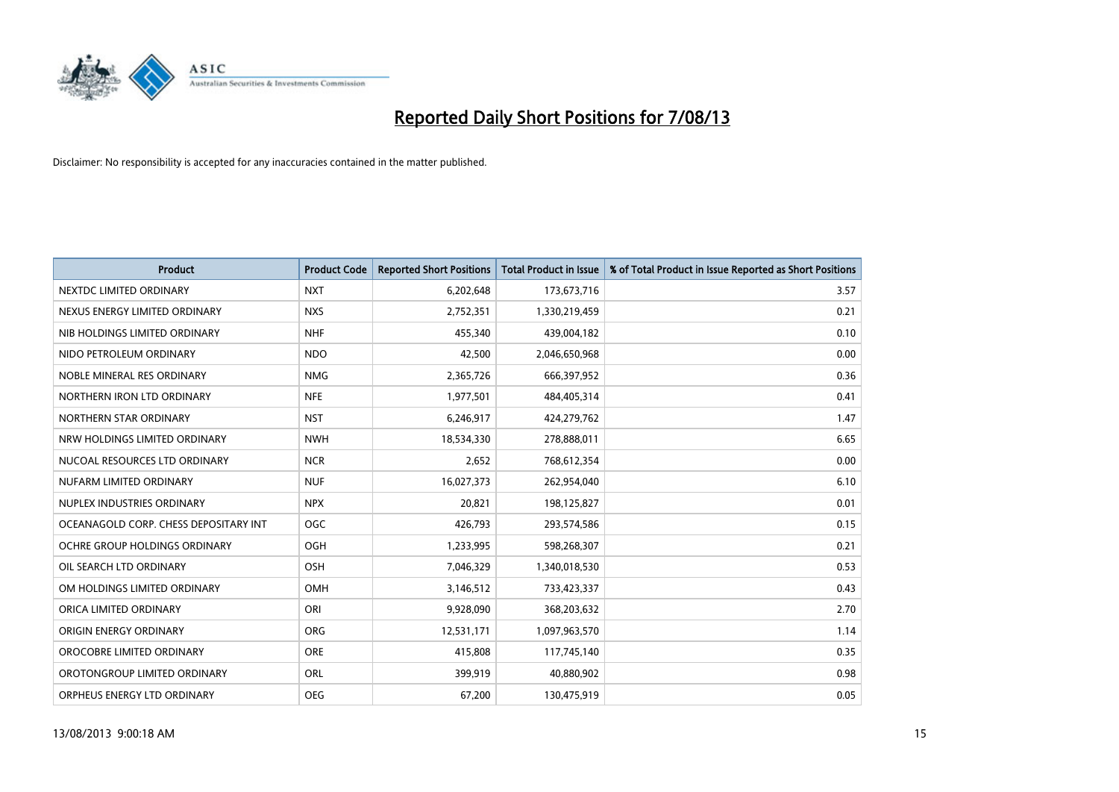

| <b>Product</b>                        | <b>Product Code</b> | <b>Reported Short Positions</b> | <b>Total Product in Issue</b> | % of Total Product in Issue Reported as Short Positions |
|---------------------------------------|---------------------|---------------------------------|-------------------------------|---------------------------------------------------------|
| NEXTDC LIMITED ORDINARY               | <b>NXT</b>          | 6,202,648                       | 173,673,716                   | 3.57                                                    |
| NEXUS ENERGY LIMITED ORDINARY         | <b>NXS</b>          | 2,752,351                       | 1,330,219,459                 | 0.21                                                    |
| NIB HOLDINGS LIMITED ORDINARY         | <b>NHF</b>          | 455,340                         | 439,004,182                   | 0.10                                                    |
| NIDO PETROLEUM ORDINARY               | <b>NDO</b>          | 42,500                          | 2,046,650,968                 | 0.00                                                    |
| NOBLE MINERAL RES ORDINARY            | <b>NMG</b>          | 2,365,726                       | 666,397,952                   | 0.36                                                    |
| NORTHERN IRON LTD ORDINARY            | <b>NFE</b>          | 1,977,501                       | 484,405,314                   | 0.41                                                    |
| NORTHERN STAR ORDINARY                | <b>NST</b>          | 6,246,917                       | 424,279,762                   | 1.47                                                    |
| NRW HOLDINGS LIMITED ORDINARY         | <b>NWH</b>          | 18,534,330                      | 278,888,011                   | 6.65                                                    |
| NUCOAL RESOURCES LTD ORDINARY         | <b>NCR</b>          | 2,652                           | 768,612,354                   | 0.00                                                    |
| NUFARM LIMITED ORDINARY               | <b>NUF</b>          | 16,027,373                      | 262,954,040                   | 6.10                                                    |
| NUPLEX INDUSTRIES ORDINARY            | <b>NPX</b>          | 20,821                          | 198,125,827                   | 0.01                                                    |
| OCEANAGOLD CORP. CHESS DEPOSITARY INT | <b>OGC</b>          | 426,793                         | 293,574,586                   | 0.15                                                    |
| OCHRE GROUP HOLDINGS ORDINARY         | OGH                 | 1,233,995                       | 598,268,307                   | 0.21                                                    |
| OIL SEARCH LTD ORDINARY               | OSH                 | 7,046,329                       | 1,340,018,530                 | 0.53                                                    |
| OM HOLDINGS LIMITED ORDINARY          | OMH                 | 3,146,512                       | 733,423,337                   | 0.43                                                    |
| ORICA LIMITED ORDINARY                | ORI                 | 9,928,090                       | 368,203,632                   | 2.70                                                    |
| ORIGIN ENERGY ORDINARY                | ORG                 | 12,531,171                      | 1,097,963,570                 | 1.14                                                    |
| OROCOBRE LIMITED ORDINARY             | <b>ORE</b>          | 415,808                         | 117,745,140                   | 0.35                                                    |
| OROTONGROUP LIMITED ORDINARY          | ORL                 | 399,919                         | 40,880,902                    | 0.98                                                    |
| ORPHEUS ENERGY LTD ORDINARY           | <b>OEG</b>          | 67,200                          | 130,475,919                   | 0.05                                                    |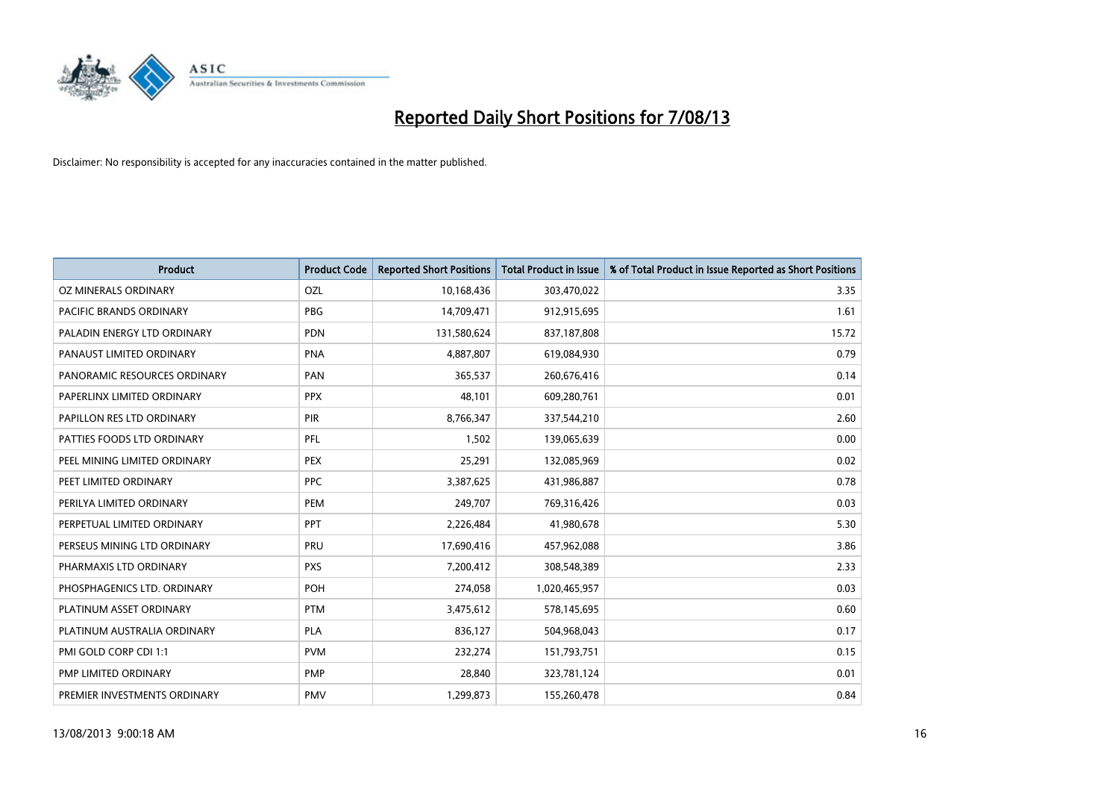

| <b>Product</b>               | <b>Product Code</b> | <b>Reported Short Positions</b> | <b>Total Product in Issue</b> | % of Total Product in Issue Reported as Short Positions |
|------------------------------|---------------------|---------------------------------|-------------------------------|---------------------------------------------------------|
| OZ MINERALS ORDINARY         | OZL                 | 10,168,436                      | 303,470,022                   | 3.35                                                    |
| PACIFIC BRANDS ORDINARY      | <b>PBG</b>          | 14,709,471                      | 912,915,695                   | 1.61                                                    |
| PALADIN ENERGY LTD ORDINARY  | <b>PDN</b>          | 131,580,624                     | 837,187,808                   | 15.72                                                   |
| PANAUST LIMITED ORDINARY     | <b>PNA</b>          | 4,887,807                       | 619,084,930                   | 0.79                                                    |
| PANORAMIC RESOURCES ORDINARY | PAN                 | 365,537                         | 260,676,416                   | 0.14                                                    |
| PAPERLINX LIMITED ORDINARY   | <b>PPX</b>          | 48,101                          | 609,280,761                   | 0.01                                                    |
| PAPILLON RES LTD ORDINARY    | <b>PIR</b>          | 8,766,347                       | 337,544,210                   | 2.60                                                    |
| PATTIES FOODS LTD ORDINARY   | PFL                 | 1,502                           | 139,065,639                   | 0.00                                                    |
| PEEL MINING LIMITED ORDINARY | <b>PEX</b>          | 25,291                          | 132,085,969                   | 0.02                                                    |
| PEET LIMITED ORDINARY        | <b>PPC</b>          | 3,387,625                       | 431,986,887                   | 0.78                                                    |
| PERILYA LIMITED ORDINARY     | PEM                 | 249,707                         | 769,316,426                   | 0.03                                                    |
| PERPETUAL LIMITED ORDINARY   | PPT                 | 2,226,484                       | 41,980,678                    | 5.30                                                    |
| PERSEUS MINING LTD ORDINARY  | PRU                 | 17,690,416                      | 457,962,088                   | 3.86                                                    |
| PHARMAXIS LTD ORDINARY       | <b>PXS</b>          | 7,200,412                       | 308,548,389                   | 2.33                                                    |
| PHOSPHAGENICS LTD. ORDINARY  | POH                 | 274,058                         | 1,020,465,957                 | 0.03                                                    |
| PLATINUM ASSET ORDINARY      | <b>PTM</b>          | 3,475,612                       | 578,145,695                   | 0.60                                                    |
| PLATINUM AUSTRALIA ORDINARY  | <b>PLA</b>          | 836,127                         | 504,968,043                   | 0.17                                                    |
| PMI GOLD CORP CDI 1:1        | <b>PVM</b>          | 232,274                         | 151,793,751                   | 0.15                                                    |
| PMP LIMITED ORDINARY         | <b>PMP</b>          | 28,840                          | 323,781,124                   | 0.01                                                    |
| PREMIER INVESTMENTS ORDINARY | <b>PMV</b>          | 1,299,873                       | 155,260,478                   | 0.84                                                    |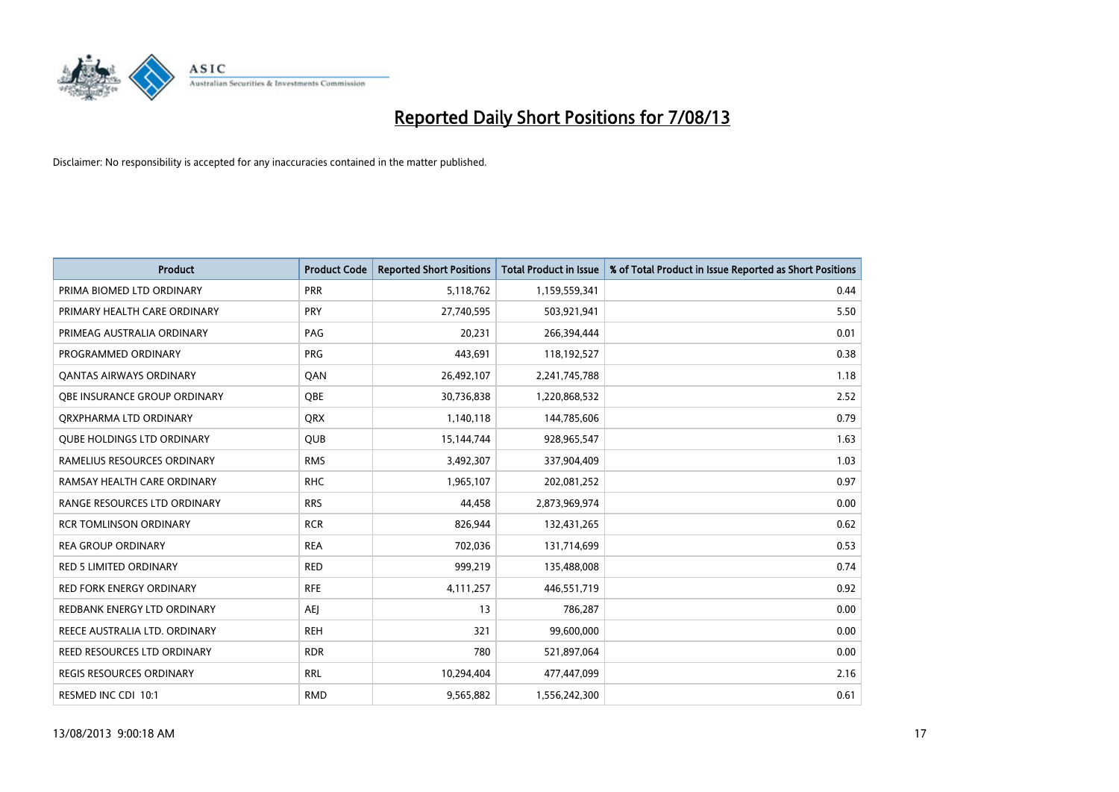

| <b>Product</b>                    | <b>Product Code</b> | <b>Reported Short Positions</b> | <b>Total Product in Issue</b> | % of Total Product in Issue Reported as Short Positions |
|-----------------------------------|---------------------|---------------------------------|-------------------------------|---------------------------------------------------------|
| PRIMA BIOMED LTD ORDINARY         | <b>PRR</b>          | 5,118,762                       | 1,159,559,341                 | 0.44                                                    |
| PRIMARY HEALTH CARE ORDINARY      | <b>PRY</b>          | 27,740,595                      | 503,921,941                   | 5.50                                                    |
| PRIMEAG AUSTRALIA ORDINARY        | PAG                 | 20,231                          | 266,394,444                   | 0.01                                                    |
| PROGRAMMED ORDINARY               | <b>PRG</b>          | 443,691                         | 118,192,527                   | 0.38                                                    |
| OANTAS AIRWAYS ORDINARY           | QAN                 | 26,492,107                      | 2,241,745,788                 | 1.18                                                    |
| OBE INSURANCE GROUP ORDINARY      | <b>OBE</b>          | 30,736,838                      | 1,220,868,532                 | 2.52                                                    |
| ORXPHARMA LTD ORDINARY            | <b>QRX</b>          | 1,140,118                       | 144,785,606                   | 0.79                                                    |
| <b>QUBE HOLDINGS LTD ORDINARY</b> | <b>QUB</b>          | 15,144,744                      | 928,965,547                   | 1.63                                                    |
| RAMELIUS RESOURCES ORDINARY       | <b>RMS</b>          | 3,492,307                       | 337,904,409                   | 1.03                                                    |
| RAMSAY HEALTH CARE ORDINARY       | <b>RHC</b>          | 1,965,107                       | 202,081,252                   | 0.97                                                    |
| RANGE RESOURCES LTD ORDINARY      | <b>RRS</b>          | 44,458                          | 2,873,969,974                 | 0.00                                                    |
| <b>RCR TOMLINSON ORDINARY</b>     | <b>RCR</b>          | 826,944                         | 132,431,265                   | 0.62                                                    |
| <b>REA GROUP ORDINARY</b>         | <b>REA</b>          | 702,036                         | 131,714,699                   | 0.53                                                    |
| <b>RED 5 LIMITED ORDINARY</b>     | <b>RED</b>          | 999,219                         | 135,488,008                   | 0.74                                                    |
| <b>RED FORK ENERGY ORDINARY</b>   | <b>RFE</b>          | 4,111,257                       | 446,551,719                   | 0.92                                                    |
| REDBANK ENERGY LTD ORDINARY       | <b>AEJ</b>          | 13                              | 786,287                       | 0.00                                                    |
| REECE AUSTRALIA LTD. ORDINARY     | <b>REH</b>          | 321                             | 99,600,000                    | 0.00                                                    |
| REED RESOURCES LTD ORDINARY       | <b>RDR</b>          | 780                             | 521,897,064                   | 0.00                                                    |
| REGIS RESOURCES ORDINARY          | <b>RRL</b>          | 10,294,404                      | 477,447,099                   | 2.16                                                    |
| RESMED INC CDI 10:1               | <b>RMD</b>          | 9,565,882                       | 1,556,242,300                 | 0.61                                                    |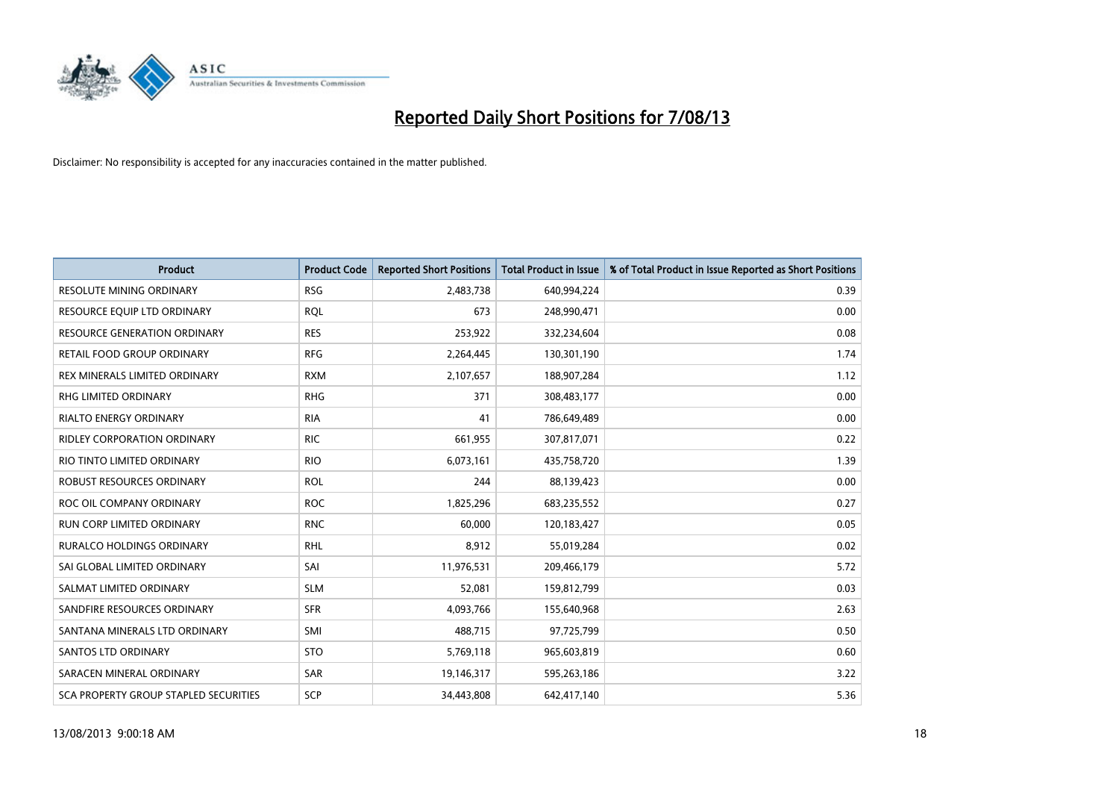

| <b>Product</b>                        | <b>Product Code</b> | <b>Reported Short Positions</b> | <b>Total Product in Issue</b> | % of Total Product in Issue Reported as Short Positions |
|---------------------------------------|---------------------|---------------------------------|-------------------------------|---------------------------------------------------------|
| <b>RESOLUTE MINING ORDINARY</b>       | <b>RSG</b>          | 2,483,738                       | 640,994,224                   | 0.39                                                    |
| RESOURCE EQUIP LTD ORDINARY           | <b>RQL</b>          | 673                             | 248,990,471                   | 0.00                                                    |
| <b>RESOURCE GENERATION ORDINARY</b>   | <b>RES</b>          | 253,922                         | 332,234,604                   | 0.08                                                    |
| RETAIL FOOD GROUP ORDINARY            | <b>RFG</b>          | 2,264,445                       | 130,301,190                   | 1.74                                                    |
| REX MINERALS LIMITED ORDINARY         | <b>RXM</b>          | 2,107,657                       | 188,907,284                   | 1.12                                                    |
| <b>RHG LIMITED ORDINARY</b>           | <b>RHG</b>          | 371                             | 308,483,177                   | 0.00                                                    |
| <b>RIALTO ENERGY ORDINARY</b>         | <b>RIA</b>          | 41                              | 786,649,489                   | 0.00                                                    |
| <b>RIDLEY CORPORATION ORDINARY</b>    | <b>RIC</b>          | 661,955                         | 307,817,071                   | 0.22                                                    |
| RIO TINTO LIMITED ORDINARY            | <b>RIO</b>          | 6,073,161                       | 435,758,720                   | 1.39                                                    |
| ROBUST RESOURCES ORDINARY             | <b>ROL</b>          | 244                             | 88,139,423                    | 0.00                                                    |
| ROC OIL COMPANY ORDINARY              | <b>ROC</b>          | 1,825,296                       | 683,235,552                   | 0.27                                                    |
| <b>RUN CORP LIMITED ORDINARY</b>      | <b>RNC</b>          | 60,000                          | 120,183,427                   | 0.05                                                    |
| RURALCO HOLDINGS ORDINARY             | <b>RHL</b>          | 8,912                           | 55,019,284                    | 0.02                                                    |
| SAI GLOBAL LIMITED ORDINARY           | SAI                 | 11,976,531                      | 209,466,179                   | 5.72                                                    |
| SALMAT LIMITED ORDINARY               | <b>SLM</b>          | 52,081                          | 159,812,799                   | 0.03                                                    |
| SANDFIRE RESOURCES ORDINARY           | <b>SFR</b>          | 4,093,766                       | 155,640,968                   | 2.63                                                    |
| SANTANA MINERALS LTD ORDINARY         | SMI                 | 488,715                         | 97,725,799                    | 0.50                                                    |
| SANTOS LTD ORDINARY                   | <b>STO</b>          | 5,769,118                       | 965,603,819                   | 0.60                                                    |
| SARACEN MINERAL ORDINARY              | <b>SAR</b>          | 19,146,317                      | 595,263,186                   | 3.22                                                    |
| SCA PROPERTY GROUP STAPLED SECURITIES | SCP                 | 34,443,808                      | 642,417,140                   | 5.36                                                    |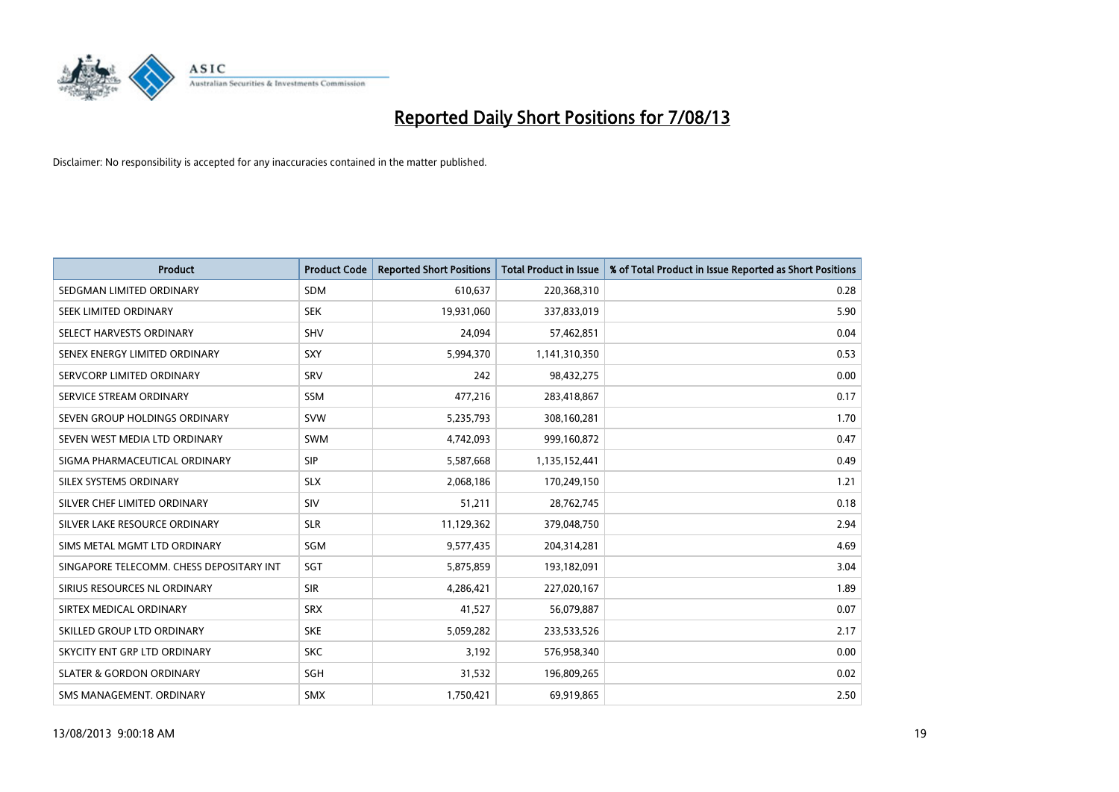

| <b>Product</b>                           | <b>Product Code</b> | <b>Reported Short Positions</b> | <b>Total Product in Issue</b> | % of Total Product in Issue Reported as Short Positions |
|------------------------------------------|---------------------|---------------------------------|-------------------------------|---------------------------------------------------------|
| SEDGMAN LIMITED ORDINARY                 | <b>SDM</b>          | 610,637                         | 220,368,310                   | 0.28                                                    |
| SEEK LIMITED ORDINARY                    | <b>SEK</b>          | 19,931,060                      | 337,833,019                   | 5.90                                                    |
| SELECT HARVESTS ORDINARY                 | <b>SHV</b>          | 24,094                          | 57,462,851                    | 0.04                                                    |
| SENEX ENERGY LIMITED ORDINARY            | <b>SXY</b>          | 5,994,370                       | 1,141,310,350                 | 0.53                                                    |
| SERVCORP LIMITED ORDINARY                | SRV                 | 242                             | 98,432,275                    | 0.00                                                    |
| SERVICE STREAM ORDINARY                  | SSM                 | 477,216                         | 283,418,867                   | 0.17                                                    |
| SEVEN GROUP HOLDINGS ORDINARY            | <b>SVW</b>          | 5,235,793                       | 308,160,281                   | 1.70                                                    |
| SEVEN WEST MEDIA LTD ORDINARY            | <b>SWM</b>          | 4,742,093                       | 999,160,872                   | 0.47                                                    |
| SIGMA PHARMACEUTICAL ORDINARY            | <b>SIP</b>          | 5,587,668                       | 1,135,152,441                 | 0.49                                                    |
| SILEX SYSTEMS ORDINARY                   | <b>SLX</b>          | 2,068,186                       | 170,249,150                   | 1.21                                                    |
| SILVER CHEF LIMITED ORDINARY             | <b>SIV</b>          | 51,211                          | 28,762,745                    | 0.18                                                    |
| SILVER LAKE RESOURCE ORDINARY            | <b>SLR</b>          | 11,129,362                      | 379,048,750                   | 2.94                                                    |
| SIMS METAL MGMT LTD ORDINARY             | <b>SGM</b>          | 9,577,435                       | 204,314,281                   | 4.69                                                    |
| SINGAPORE TELECOMM. CHESS DEPOSITARY INT | SGT                 | 5,875,859                       | 193,182,091                   | 3.04                                                    |
| SIRIUS RESOURCES NL ORDINARY             | <b>SIR</b>          | 4,286,421                       | 227,020,167                   | 1.89                                                    |
| SIRTEX MEDICAL ORDINARY                  | <b>SRX</b>          | 41,527                          | 56,079,887                    | 0.07                                                    |
| SKILLED GROUP LTD ORDINARY               | <b>SKE</b>          | 5,059,282                       | 233,533,526                   | 2.17                                                    |
| SKYCITY ENT GRP LTD ORDINARY             | <b>SKC</b>          | 3,192                           | 576,958,340                   | 0.00                                                    |
| <b>SLATER &amp; GORDON ORDINARY</b>      | SGH                 | 31,532                          | 196,809,265                   | 0.02                                                    |
| SMS MANAGEMENT, ORDINARY                 | <b>SMX</b>          | 1,750,421                       | 69,919,865                    | 2.50                                                    |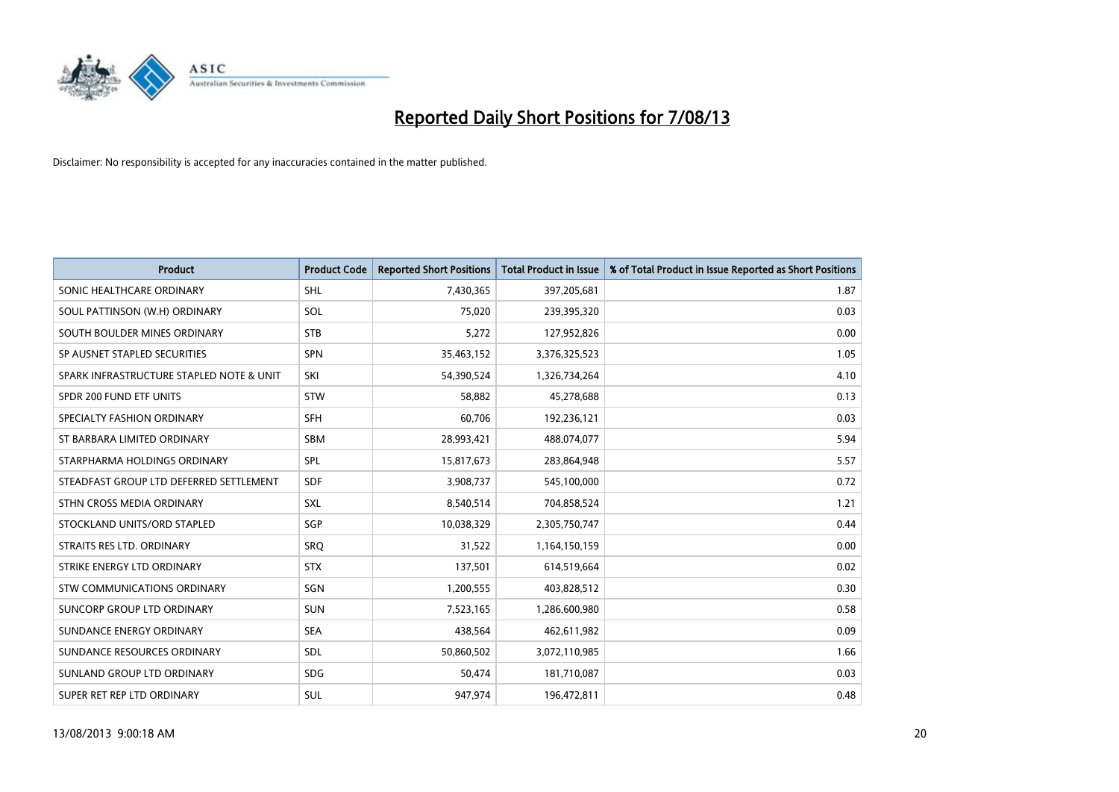

| <b>Product</b>                           | <b>Product Code</b> | <b>Reported Short Positions</b> | <b>Total Product in Issue</b> | % of Total Product in Issue Reported as Short Positions |
|------------------------------------------|---------------------|---------------------------------|-------------------------------|---------------------------------------------------------|
| SONIC HEALTHCARE ORDINARY                | <b>SHL</b>          | 7,430,365                       | 397,205,681                   | 1.87                                                    |
| SOUL PATTINSON (W.H) ORDINARY            | SOL                 | 75,020                          | 239,395,320                   | 0.03                                                    |
| SOUTH BOULDER MINES ORDINARY             | <b>STB</b>          | 5,272                           | 127,952,826                   | 0.00                                                    |
| SP AUSNET STAPLED SECURITIES             | SPN                 | 35,463,152                      | 3,376,325,523                 | 1.05                                                    |
| SPARK INFRASTRUCTURE STAPLED NOTE & UNIT | SKI                 | 54,390,524                      | 1,326,734,264                 | 4.10                                                    |
| SPDR 200 FUND ETF UNITS                  | <b>STW</b>          | 58,882                          | 45,278,688                    | 0.13                                                    |
| SPECIALTY FASHION ORDINARY               | <b>SFH</b>          | 60,706                          | 192,236,121                   | 0.03                                                    |
| ST BARBARA LIMITED ORDINARY              | <b>SBM</b>          | 28,993,421                      | 488,074,077                   | 5.94                                                    |
| STARPHARMA HOLDINGS ORDINARY             | SPL                 | 15,817,673                      | 283,864,948                   | 5.57                                                    |
| STEADFAST GROUP LTD DEFERRED SETTLEMENT  | <b>SDF</b>          | 3,908,737                       | 545,100,000                   | 0.72                                                    |
| STHN CROSS MEDIA ORDINARY                | <b>SXL</b>          | 8,540,514                       | 704,858,524                   | 1.21                                                    |
| STOCKLAND UNITS/ORD STAPLED              | SGP                 | 10,038,329                      | 2,305,750,747                 | 0.44                                                    |
| STRAITS RES LTD. ORDINARY                | <b>SRO</b>          | 31,522                          | 1,164,150,159                 | 0.00                                                    |
| STRIKE ENERGY LTD ORDINARY               | <b>STX</b>          | 137,501                         | 614,519,664                   | 0.02                                                    |
| STW COMMUNICATIONS ORDINARY              | SGN                 | 1,200,555                       | 403,828,512                   | 0.30                                                    |
| SUNCORP GROUP LTD ORDINARY               | <b>SUN</b>          | 7,523,165                       | 1,286,600,980                 | 0.58                                                    |
| SUNDANCE ENERGY ORDINARY                 | <b>SEA</b>          | 438,564                         | 462,611,982                   | 0.09                                                    |
| SUNDANCE RESOURCES ORDINARY              | <b>SDL</b>          | 50,860,502                      | 3,072,110,985                 | 1.66                                                    |
| SUNLAND GROUP LTD ORDINARY               | <b>SDG</b>          | 50,474                          | 181,710,087                   | 0.03                                                    |
| SUPER RET REP LTD ORDINARY               | SUL                 | 947,974                         | 196,472,811                   | 0.48                                                    |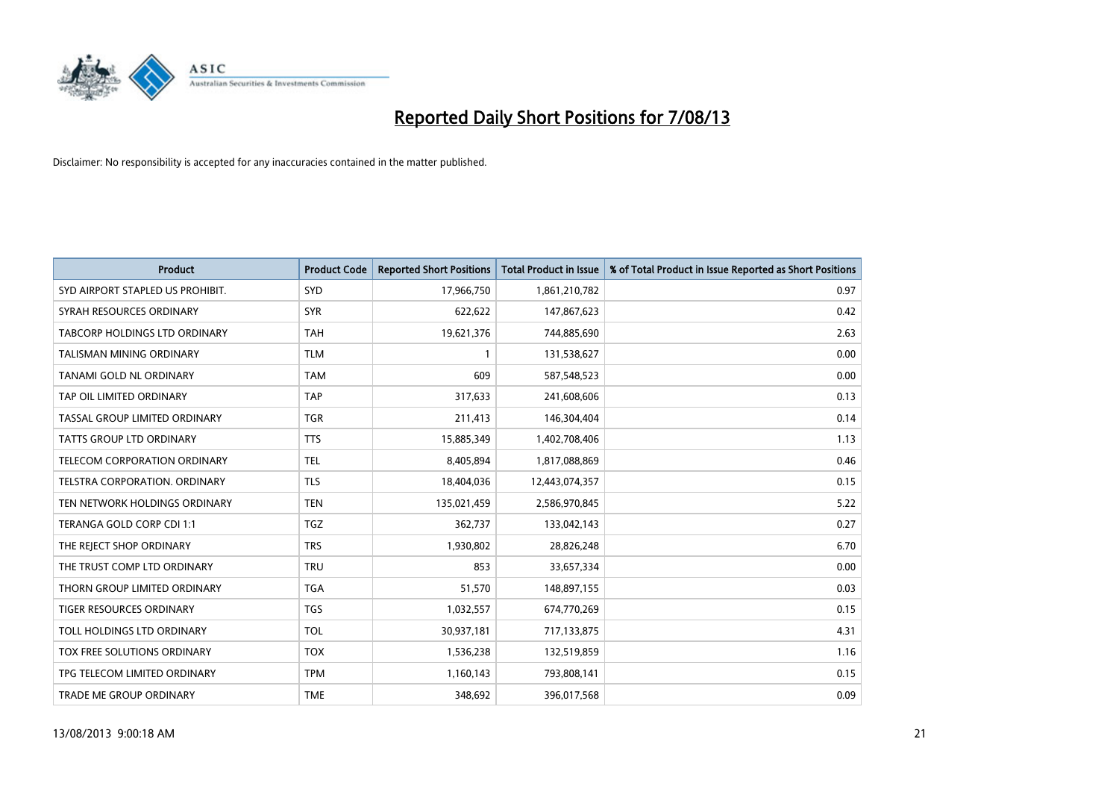

| <b>Product</b>                   | <b>Product Code</b> | <b>Reported Short Positions</b> | <b>Total Product in Issue</b> | % of Total Product in Issue Reported as Short Positions |
|----------------------------------|---------------------|---------------------------------|-------------------------------|---------------------------------------------------------|
| SYD AIRPORT STAPLED US PROHIBIT. | SYD                 | 17,966,750                      | 1,861,210,782                 | 0.97                                                    |
| SYRAH RESOURCES ORDINARY         | <b>SYR</b>          | 622,622                         | 147,867,623                   | 0.42                                                    |
| TABCORP HOLDINGS LTD ORDINARY    | <b>TAH</b>          | 19,621,376                      | 744,885,690                   | 2.63                                                    |
| TALISMAN MINING ORDINARY         | <b>TLM</b>          | 1                               | 131,538,627                   | 0.00                                                    |
| <b>TANAMI GOLD NL ORDINARY</b>   | <b>TAM</b>          | 609                             | 587,548,523                   | 0.00                                                    |
| TAP OIL LIMITED ORDINARY         | <b>TAP</b>          | 317,633                         | 241,608,606                   | 0.13                                                    |
| TASSAL GROUP LIMITED ORDINARY    | <b>TGR</b>          | 211,413                         | 146,304,404                   | 0.14                                                    |
| TATTS GROUP LTD ORDINARY         | <b>TTS</b>          | 15,885,349                      | 1,402,708,406                 | 1.13                                                    |
| TELECOM CORPORATION ORDINARY     | <b>TEL</b>          | 8,405,894                       | 1,817,088,869                 | 0.46                                                    |
| TELSTRA CORPORATION, ORDINARY    | <b>TLS</b>          | 18,404,036                      | 12,443,074,357                | 0.15                                                    |
| TEN NETWORK HOLDINGS ORDINARY    | <b>TEN</b>          | 135,021,459                     | 2,586,970,845                 | 5.22                                                    |
| TERANGA GOLD CORP CDI 1:1        | <b>TGZ</b>          | 362,737                         | 133,042,143                   | 0.27                                                    |
| THE REJECT SHOP ORDINARY         | <b>TRS</b>          | 1,930,802                       | 28,826,248                    | 6.70                                                    |
| THE TRUST COMP LTD ORDINARY      | <b>TRU</b>          | 853                             | 33,657,334                    | 0.00                                                    |
| THORN GROUP LIMITED ORDINARY     | <b>TGA</b>          | 51,570                          | 148,897,155                   | 0.03                                                    |
| <b>TIGER RESOURCES ORDINARY</b>  | <b>TGS</b>          | 1,032,557                       | 674,770,269                   | 0.15                                                    |
| TOLL HOLDINGS LTD ORDINARY       | <b>TOL</b>          | 30,937,181                      | 717,133,875                   | 4.31                                                    |
| TOX FREE SOLUTIONS ORDINARY      | <b>TOX</b>          | 1,536,238                       | 132,519,859                   | 1.16                                                    |
| TPG TELECOM LIMITED ORDINARY     | <b>TPM</b>          | 1,160,143                       | 793,808,141                   | 0.15                                                    |
| TRADE ME GROUP ORDINARY          | <b>TME</b>          | 348,692                         | 396,017,568                   | 0.09                                                    |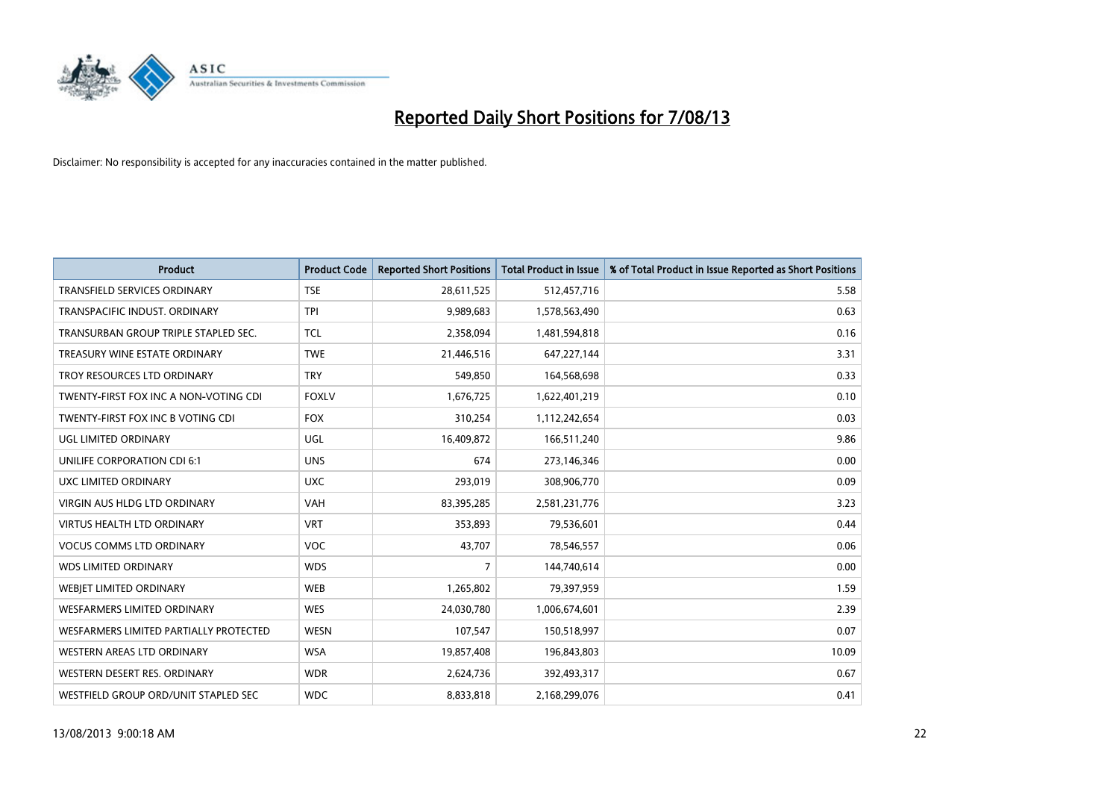

| <b>Product</b>                         | <b>Product Code</b> | <b>Reported Short Positions</b> | <b>Total Product in Issue</b> | % of Total Product in Issue Reported as Short Positions |
|----------------------------------------|---------------------|---------------------------------|-------------------------------|---------------------------------------------------------|
| <b>TRANSFIELD SERVICES ORDINARY</b>    | <b>TSE</b>          | 28,611,525                      | 512,457,716                   | 5.58                                                    |
| TRANSPACIFIC INDUST. ORDINARY          | <b>TPI</b>          | 9,989,683                       | 1,578,563,490                 | 0.63                                                    |
| TRANSURBAN GROUP TRIPLE STAPLED SEC.   | TCL                 | 2,358,094                       | 1,481,594,818                 | 0.16                                                    |
| TREASURY WINE ESTATE ORDINARY          | <b>TWE</b>          | 21,446,516                      | 647,227,144                   | 3.31                                                    |
| TROY RESOURCES LTD ORDINARY            | <b>TRY</b>          | 549,850                         | 164,568,698                   | 0.33                                                    |
| TWENTY-FIRST FOX INC A NON-VOTING CDI  | <b>FOXLV</b>        | 1,676,725                       | 1,622,401,219                 | 0.10                                                    |
| TWENTY-FIRST FOX INC B VOTING CDI      | <b>FOX</b>          | 310,254                         | 1,112,242,654                 | 0.03                                                    |
| UGL LIMITED ORDINARY                   | UGL                 | 16,409,872                      | 166,511,240                   | 9.86                                                    |
| UNILIFE CORPORATION CDI 6:1            | <b>UNS</b>          | 674                             | 273,146,346                   | 0.00                                                    |
| UXC LIMITED ORDINARY                   | <b>UXC</b>          | 293,019                         | 308,906,770                   | 0.09                                                    |
| <b>VIRGIN AUS HLDG LTD ORDINARY</b>    | <b>VAH</b>          | 83,395,285                      | 2,581,231,776                 | 3.23                                                    |
| <b>VIRTUS HEALTH LTD ORDINARY</b>      | <b>VRT</b>          | 353,893                         | 79,536,601                    | 0.44                                                    |
| <b>VOCUS COMMS LTD ORDINARY</b>        | VOC                 | 43,707                          | 78,546,557                    | 0.06                                                    |
| <b>WDS LIMITED ORDINARY</b>            | <b>WDS</b>          | 7                               | 144,740,614                   | 0.00                                                    |
| WEBJET LIMITED ORDINARY                | <b>WEB</b>          | 1,265,802                       | 79,397,959                    | 1.59                                                    |
| <b>WESFARMERS LIMITED ORDINARY</b>     | <b>WES</b>          | 24,030,780                      | 1,006,674,601                 | 2.39                                                    |
| WESFARMERS LIMITED PARTIALLY PROTECTED | <b>WESN</b>         | 107,547                         | 150,518,997                   | 0.07                                                    |
| <b>WESTERN AREAS LTD ORDINARY</b>      | <b>WSA</b>          | 19,857,408                      | 196,843,803                   | 10.09                                                   |
| WESTERN DESERT RES. ORDINARY           | <b>WDR</b>          | 2,624,736                       | 392,493,317                   | 0.67                                                    |
| WESTFIELD GROUP ORD/UNIT STAPLED SEC   | <b>WDC</b>          | 8,833,818                       | 2,168,299,076                 | 0.41                                                    |